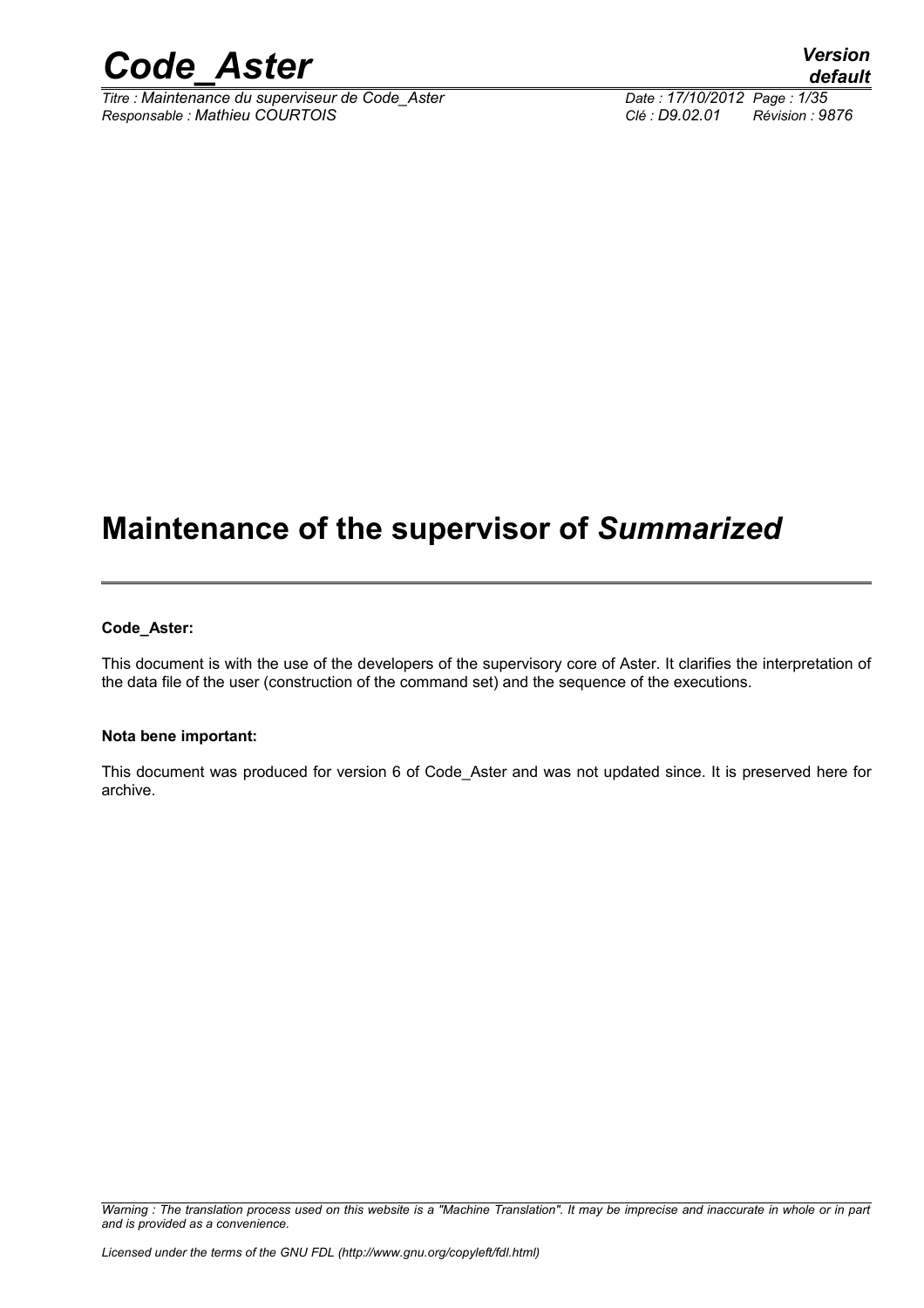

*Titre : Maintenance du superviseur de Code\_Aster Date : 17/10/2012 Page : 1/35 Responsable : Mathieu COURTOIS Clé : D9.02.01 Révision : 9876*

*default*

## **Maintenance of the supervisor of** *Summarized*

#### **Code\_Aster:**

This document is with the use of the developers of the supervisory core of Aster. It clarifies the interpretation of the data file of the user (construction of the command set) and the sequence of the executions.

#### **Nota bene important:**

This document was produced for version 6 of Code\_Aster and was not updated since. It is preserved here for archive.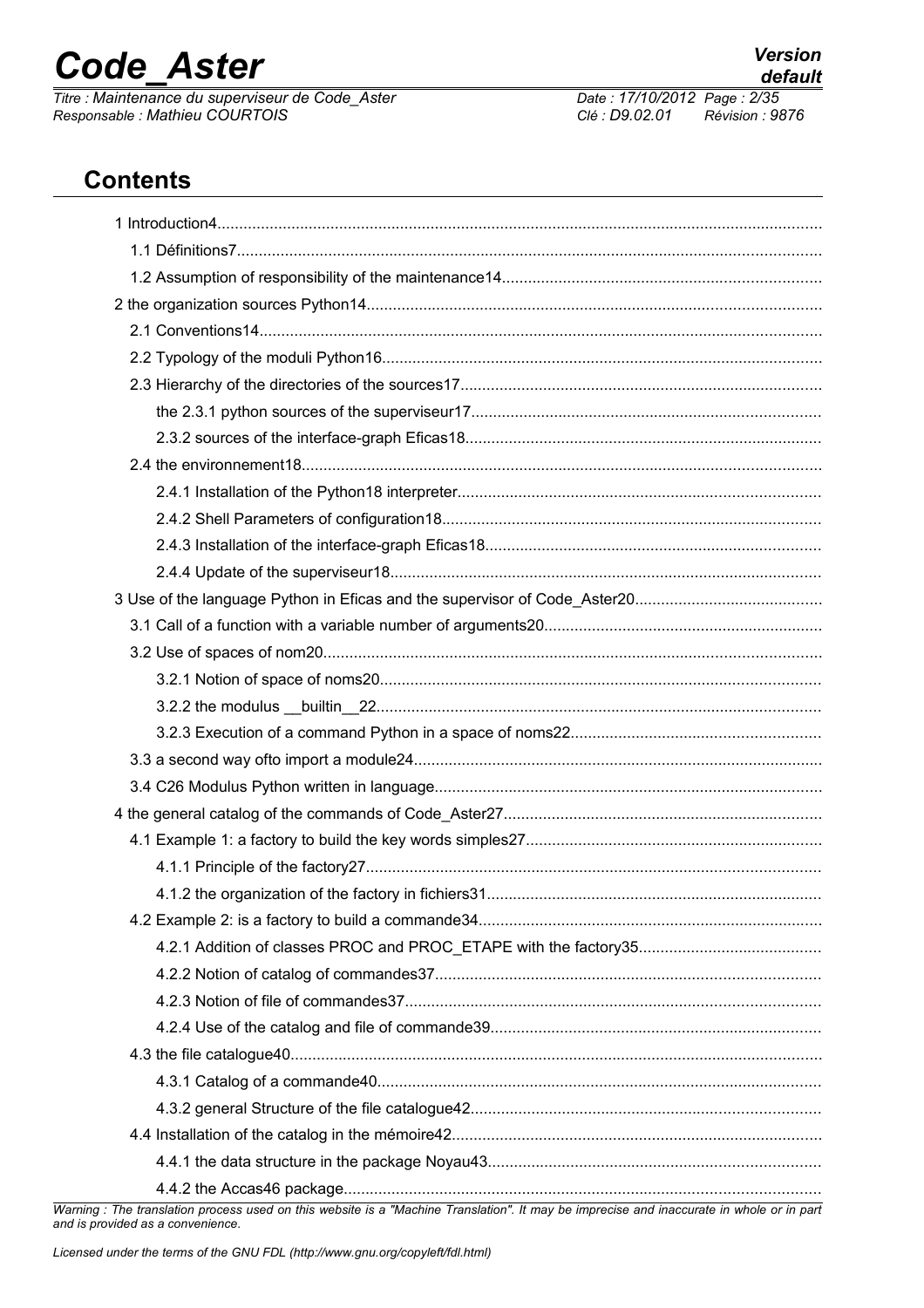*Titre : Maintenance du superviseur de Code\_Aster Date : 17/10/2012 Page : 2/35 Responsable : Mathieu COURTOIS Clé : D9.02.01 Révision : 9876*

## **Contents**

| Warning : The translation process used on this website is a "Machine Translation". It may be imprecise and inaccurate in whole or in part |
|-------------------------------------------------------------------------------------------------------------------------------------------|

*Warning : The translation process* and is provided as a convenience.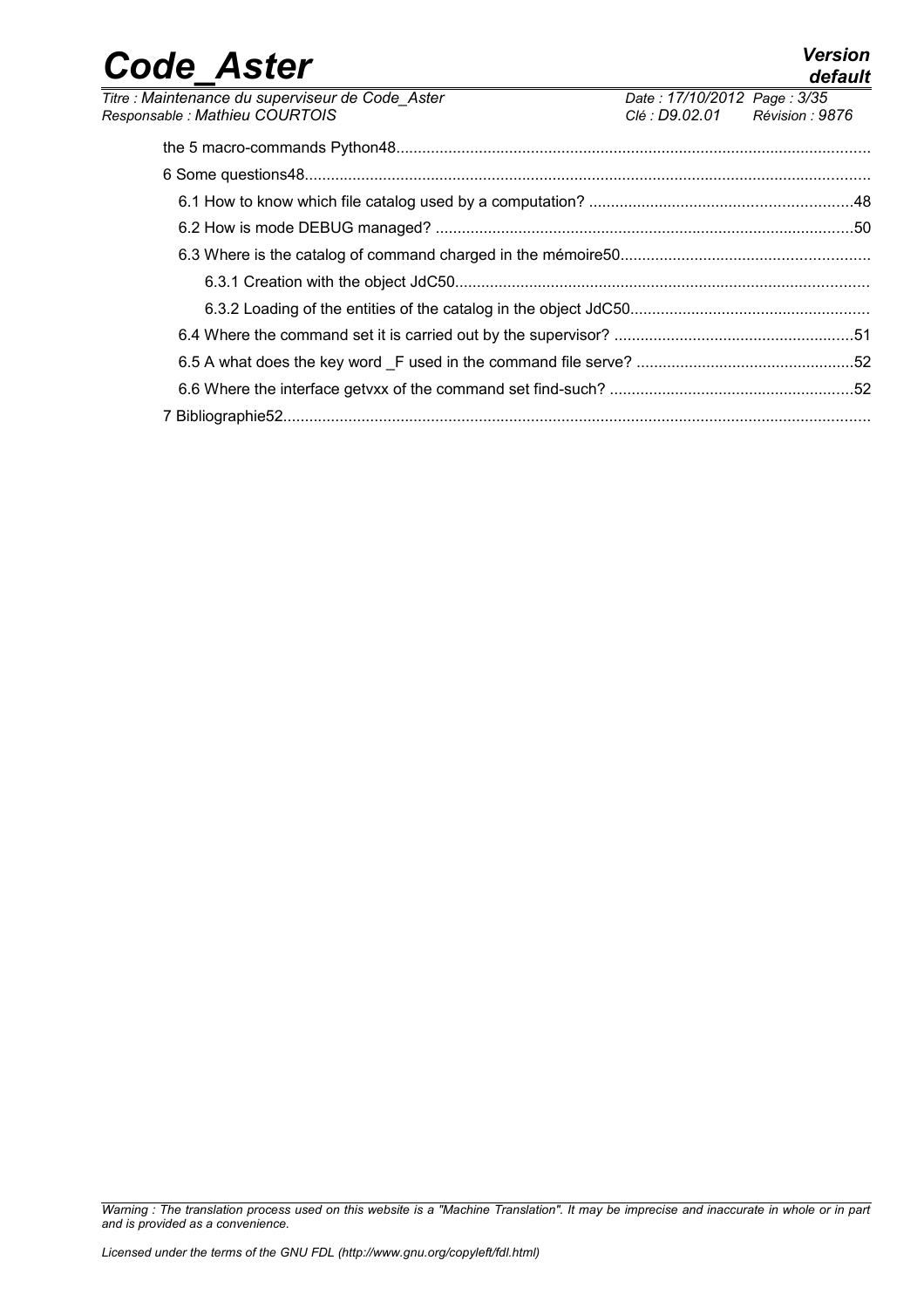| <b>Code Aster</b>                                |                             | <b>Version</b><br>default |
|--------------------------------------------------|-----------------------------|---------------------------|
| Titre : Maintenance du superviseur de Code Aster | Date: 17/10/2012 Page: 3/35 |                           |
| Responsable : Mathieu COURTOIS                   | Clé : D9.02.01              | Révision : 9876           |
|                                                  |                             |                           |
|                                                  |                             |                           |
|                                                  |                             |                           |
|                                                  |                             |                           |
|                                                  |                             |                           |
|                                                  |                             |                           |
|                                                  |                             |                           |
|                                                  |                             |                           |
|                                                  |                             |                           |
|                                                  |                             |                           |
|                                                  |                             |                           |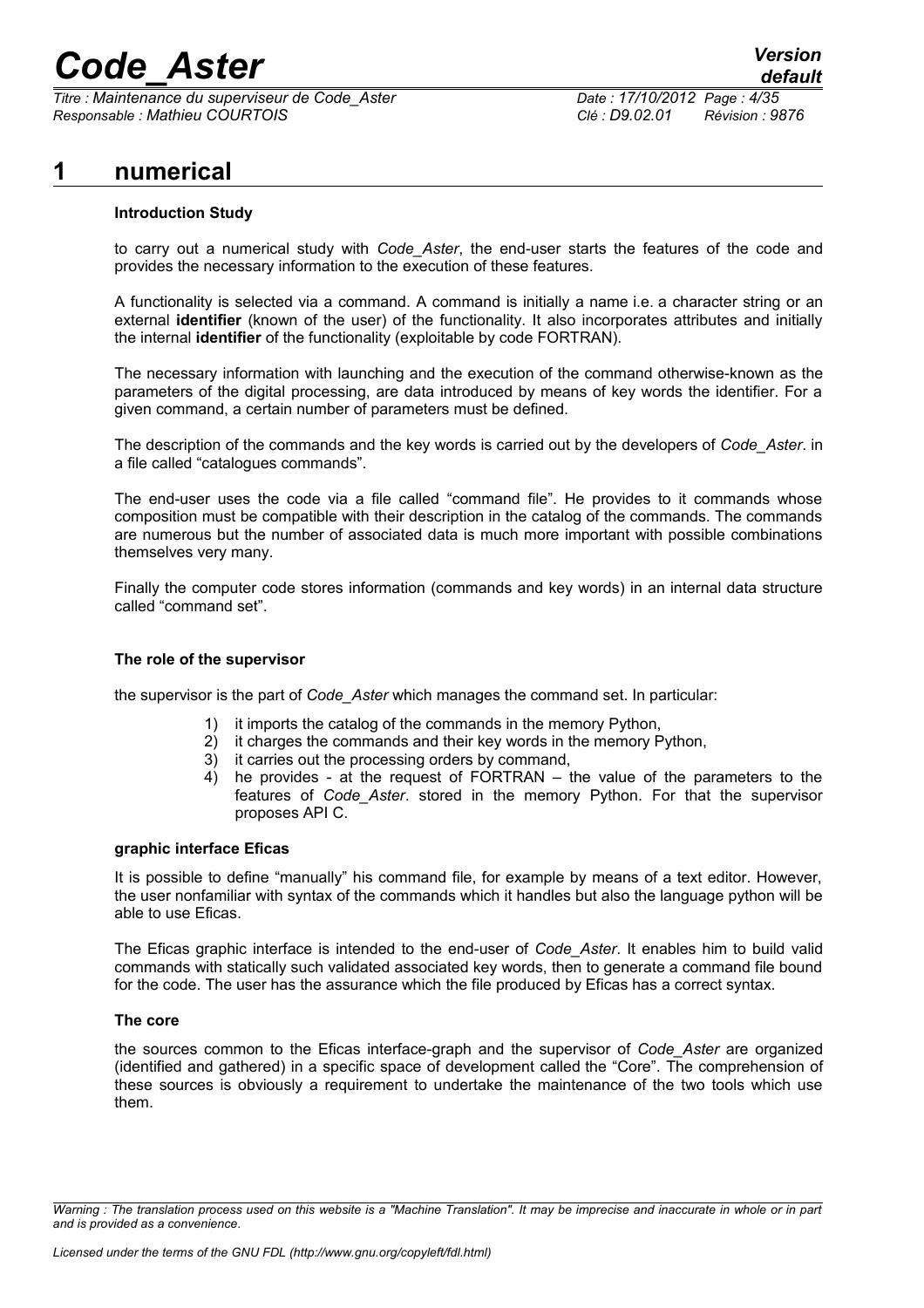*Titre : Maintenance du superviseur de Code\_Aster Date : 17/10/2012 Page : 4/35 Responsable : Mathieu COURTOIS Clé : D9.02.01 Révision : 9876*

## **1 numerical**

### **Introduction Study**

to carry out a numerical study with *Code\_Aster*, the end-user starts the features of the code and provides the necessary information to the execution of these features.

A functionality is selected via a command. A command is initially a name i.e. a character string or an external **identifier** (known of the user) of the functionality. It also incorporates attributes and initially the internal **identifier** of the functionality (exploitable by code FORTRAN).

The necessary information with launching and the execution of the command otherwise-known as the parameters of the digital processing, are data introduced by means of key words the identifier. For a given command, a certain number of parameters must be defined.

The description of the commands and the key words is carried out by the developers of *Code\_Aster*. in a file called "catalogues commands".

The end-user uses the code via a file called "command file". He provides to it commands whose composition must be compatible with their description in the catalog of the commands. The commands are numerous but the number of associated data is much more important with possible combinations themselves very many.

Finally the computer code stores information (commands and key words) in an internal data structure called "command set".

### **The role of the supervisor**

the supervisor is the part of *Code\_Aster* which manages the command set. In particular:

- 1) it imports the catalog of the commands in the memory Python,
- 2) it charges the commands and their key words in the memory Python,
- 3) it carries out the processing orders by command,
- 4) he provides at the request of FORTRAN the value of the parameters to the features of *Code\_Aster*. stored in the memory Python. For that the supervisor proposes API C.

### **graphic interface Eficas**

It is possible to define "manually" his command file, for example by means of a text editor. However, the user nonfamiliar with syntax of the commands which it handles but also the language python will be able to use Eficas.

The Eficas graphic interface is intended to the end-user of *Code\_Aster*. It enables him to build valid commands with statically such validated associated key words, then to generate a command file bound for the code. The user has the assurance which the file produced by Eficas has a correct syntax.

### **The core**

the sources common to the Eficas interface-graph and the supervisor of *Code\_Aster* are organized (identified and gathered) in a specific space of development called the "Core". The comprehension of these sources is obviously a requirement to undertake the maintenance of the two tools which use them.

*Warning : The translation process used on this website is a "Machine Translation". It may be imprecise and inaccurate in whole or in part and is provided as a convenience.*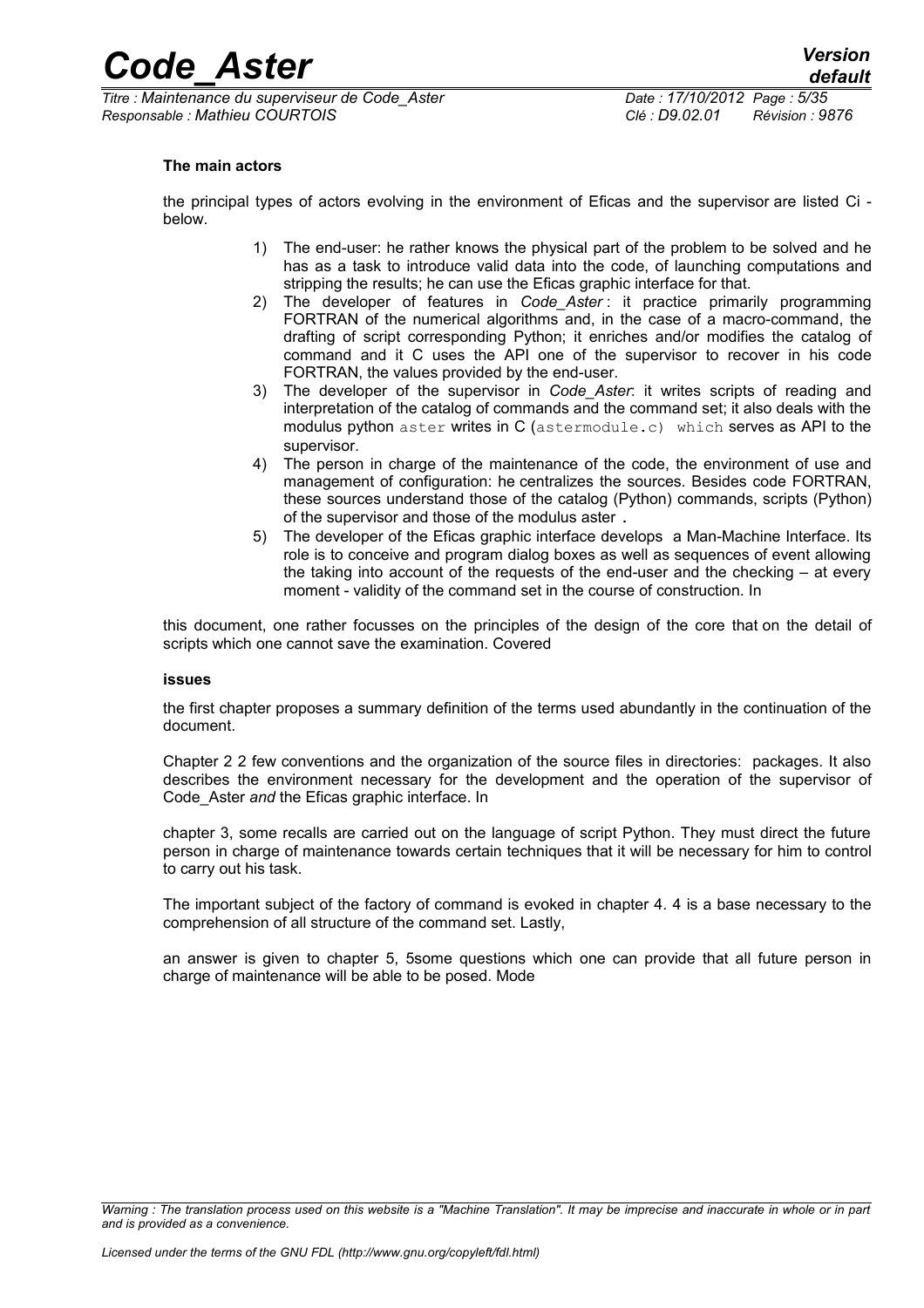*Titre : Maintenance du superviseur de Code\_Aster Date : 17/10/2012 Page : 5/35 Responsable : Mathieu COURTOIS Clé : D9.02.01 Révision : 9876*

#### **The main actors**

the principal types of actors evolving in the environment of Eficas and the supervisor are listed Ci below.

- 1) The end-user: he rather knows the physical part of the problem to be solved and he has as a task to introduce valid data into the code, of launching computations and stripping the results; he can use the Eficas graphic interface for that.
- 2) The developer of features in *Code\_Aster* : it practice primarily programming FORTRAN of the numerical algorithms and, in the case of a macro-command, the drafting of script corresponding Python; it enriches and/or modifies the catalog of command and it C uses the API one of the supervisor to recover in his code FORTRAN, the values provided by the end-user.
- 3) The developer of the supervisor in *Code\_Aster*: it writes scripts of reading and interpretation of the catalog of commands and the command set; it also deals with the modulus python aster writes in C (astermodule.c) which serves as API to the supervisor.
- 4) The person in charge of the maintenance of the code, the environment of use and management of configuration: he centralizes the sources. Besides code FORTRAN, these sources understand those of the catalog (Python) commands, scripts (Python) of the supervisor and those of the modulus aster .
- 5) The developer of the Eficas graphic interface develops a Man-Machine Interface. Its role is to conceive and program dialog boxes as well as sequences of event allowing the taking into account of the requests of the end-user and the checking – at every moment - validity of the command set in the course of construction. In

this document, one rather focusses on the principles of the design of the core that on the detail of scripts which one cannot save the examination. Covered

#### **issues**

the first chapter proposes a summary definition of the terms used abundantly in the continuation of the document.

Chapter 2 [2](#page-9-0) few conventions and the organization of the source files in directories: packages. It also describes the environment necessary for the development and the operation of the supervisor of Code\_Aster *and* the Eficas graphic interface. In

chapter 3, some recalls are carried out on the language of script Python. They must direct the future person in charge of maintenance towards certain techniques that it will be necessary for him to control to carry out his task.

The important subject of the factory of command is evoked in chapter 4. [4](#page-17-0) is a base necessary to the comprehension of all structure of the command set. Lastly,

an answer is given to chapter 5, [5s](#page-32-0)ome questions which one can provide that all future person in charge of maintenance will be able to be posed. Mode

*Warning : The translation process used on this website is a "Machine Translation". It may be imprecise and inaccurate in whole or in part and is provided as a convenience.*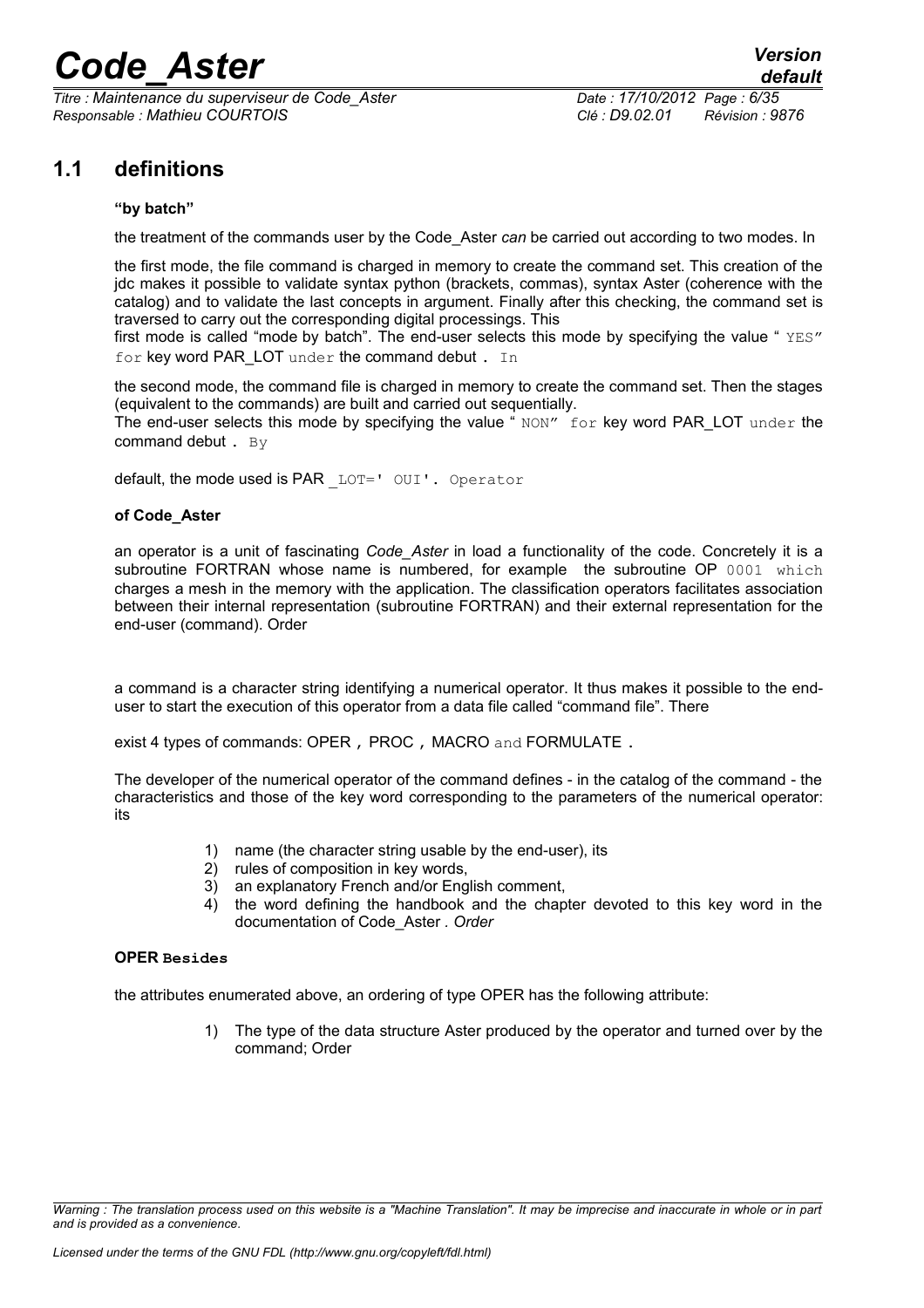*Titre : Maintenance du superviseur de Code\_Aster Date : 17/10/2012 Page : 6/35 Responsable : Mathieu COURTOIS Clé : D9.02.01 Révision : 9876*

## **1.1 definitions**

### **"by batch"**

the treatment of the commands user by the Code\_Aster *can* be carried out according to two modes. In

the first mode, the file command is charged in memory to create the command set. This creation of the jdc makes it possible to validate syntax python (brackets, commas), syntax Aster (coherence with the catalog) and to validate the last concepts in argument. Finally after this checking, the command set is traversed to carry out the corresponding digital processings. This

first mode is called "mode by batch". The end-user selects this mode by specifying the value " $YES"$ for key word PAR\_LOT under the command debut . In

the second mode, the command file is charged in memory to create the command set. Then the stages (equivalent to the commands) are built and carried out sequentially.

The end-user selects this mode by specifying the value " $NON''$  for key word PAR LOT under the command debut . By

default, the mode used is PAR LOT=' OUI'. Operator

### **of Code\_Aster**

an operator is a unit of fascinating *Code\_Aster* in load a functionality of the code. Concretely it is a subroutine FORTRAN whose name is numbered, for example the subroutine OP 0001 which charges a mesh in the memory with the application. The classification operators facilitates association between their internal representation (subroutine FORTRAN) and their external representation for the end-user (command). Order

a command is a character string identifying a numerical operator. It thus makes it possible to the enduser to start the execution of this operator from a data file called "command file". There

exist 4 types of commands: OPER, PROC, MACRO and FORMULATE.

The developer of the numerical operator of the command defines - in the catalog of the command - the characteristics and those of the key word corresponding to the parameters of the numerical operator: its

- 1) name (the character string usable by the end-user), its
- 2) rules of composition in key words,
- 3) an explanatory French and/or English comment,
- 4) the word defining the handbook and the chapter devoted to this key word in the documentation of Code\_Aster *. Order*

#### **OPER Besides**

the attributes enumerated above, an ordering of type OPER has the following attribute:

1) The type of the data structure Aster produced by the operator and turned over by the command; Order

*Warning : The translation process used on this website is a "Machine Translation". It may be imprecise and inaccurate in whole or in part and is provided as a convenience.*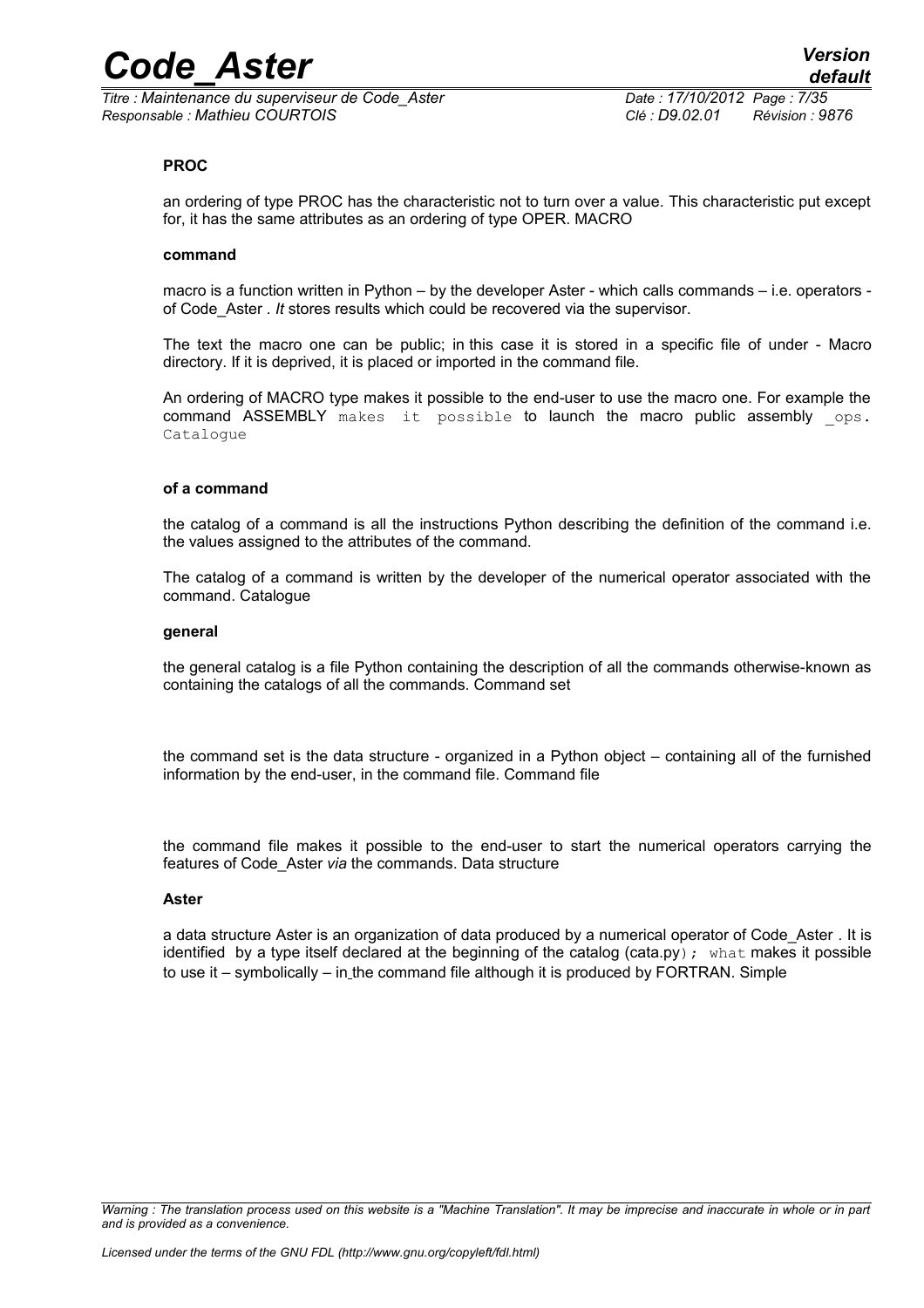*Titre : Maintenance du superviseur de Code\_Aster Date : 17/10/2012 Page : 7/35 Responsable : Mathieu COURTOIS Clé : D9.02.01 Révision : 9876*

#### **PROC**

an ordering of type PROC has the characteristic not to turn over a value. This characteristic put except for, it has the same attributes as an ordering of type OPER. MACRO

#### **command**

macro is a function written in Python – by the developer Aster - which calls commands – i.e. operators of Code\_Aster *. It* stores results which could be recovered via the supervisor.

The text the macro one can be public; in this case it is stored in a specific file of under - Macro directory. If it is deprived, it is placed or imported in the command file.

An ordering of MACRO type makes it possible to the end-user to use the macro one. For example the command ASSEMBLY makes it possible to launch the macro public assembly ops. Catalogue

#### **of a command**

the catalog of a command is all the instructions Python describing the definition of the command i.e. the values assigned to the attributes of the command.

The catalog of a command is written by the developer of the numerical operator associated with the command. Catalogue

#### **general**

the general catalog is a file Python containing the description of all the commands otherwise-known as containing the catalogs of all the commands. Command set

the command set is the data structure - organized in a Python object – containing all of the furnished information by the end-user, in the command file. Command file

the command file makes it possible to the end-user to start the numerical operators carrying the features of Code\_Aster *via* the commands. Data structure

#### **Aster**

a data structure Aster is an organization of data produced by a numerical operator of Code\_Aster *.* It is identified by a type itself declared at the beginning of the catalog (cata.py); what makes it possible to use it – symbolically – in the command file although it is produced by FORTRAN. Simple

*Warning : The translation process used on this website is a "Machine Translation". It may be imprecise and inaccurate in whole or in part and is provided as a convenience.*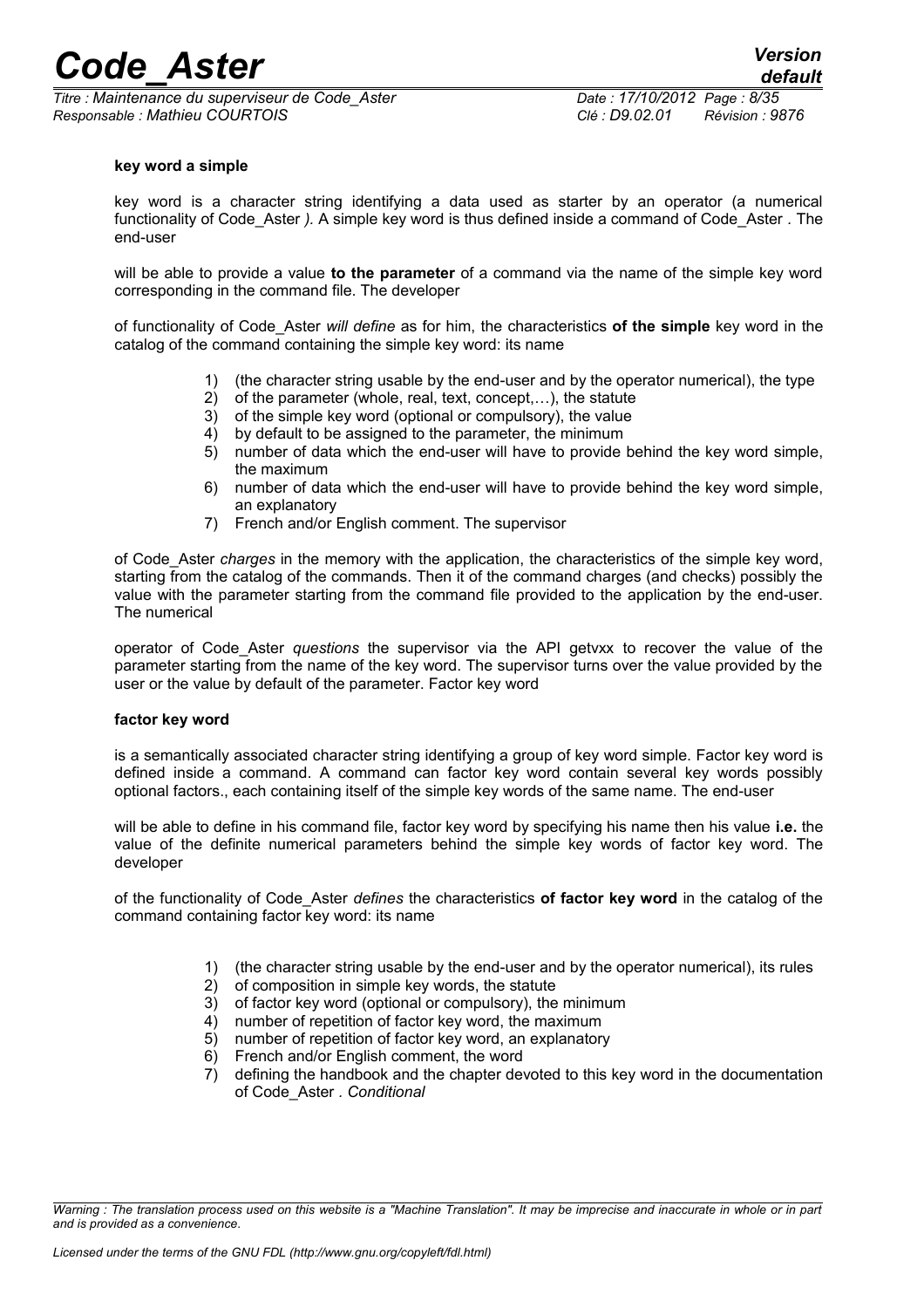*Titre : Maintenance du superviseur de Code\_Aster Date : 17/10/2012 Page : 8/35 Responsable : Mathieu COURTOIS Clé : D9.02.01 Révision : 9876*

#### **key word a simple**

key word is a character string identifying a data used as starter by an operator (a numerical functionality of Code\_Aster *).* A simple key word is thus defined inside a command of Code\_Aster *.* The end-user

will be able to provide a value **to the parameter** of a command via the name of the simple key word corresponding in the command file. The developer

of functionality of Code\_Aster *will define* as for him, the characteristics **of the simple** key word in the catalog of the command containing the simple key word: its name

- 1) (the character string usable by the end-user and by the operator numerical), the type
- 2) of the parameter (whole, real, text, concept,…), the statute
- 3) of the simple key word (optional or compulsory), the value
- 4) by default to be assigned to the parameter, the minimum
- 5) number of data which the end-user will have to provide behind the key word simple, the maximum
- 6) number of data which the end-user will have to provide behind the key word simple, an explanatory
- 7) French and/or English comment. The supervisor

of Code\_Aster *charges* in the memory with the application, the characteristics of the simple key word, starting from the catalog of the commands. Then it of the command charges (and checks) possibly the value with the parameter starting from the command file provided to the application by the end-user. The numerical

operator of Code\_Aster *questions* the supervisor via the API getvxx to recover the value of the parameter starting from the name of the key word. The supervisor turns over the value provided by the user or the value by default of the parameter. Factor key word

#### **factor key word**

is a semantically associated character string identifying a group of key word simple. Factor key word is defined inside a command. A command can factor key word contain several key words possibly optional factors., each containing itself of the simple key words of the same name. The end-user

will be able to define in his command file, factor key word by specifying his name then his value **i.e.** the value of the definite numerical parameters behind the simple key words of factor key word. The developer

of the functionality of Code\_Aster *defines* the characteristics **of factor key word** in the catalog of the command containing factor key word: its name

- 1) (the character string usable by the end-user and by the operator numerical), its rules
- 2) of composition in simple key words, the statute
- 3) of factor key word (optional or compulsory), the minimum
- 4) number of repetition of factor key word, the maximum
- 5) number of repetition of factor key word, an explanatory
- 6) French and/or English comment, the word
- 7) defining the handbook and the chapter devoted to this key word in the documentation of Code\_Aster *. Conditional*

*Warning : The translation process used on this website is a "Machine Translation". It may be imprecise and inaccurate in whole or in part and is provided as a convenience.*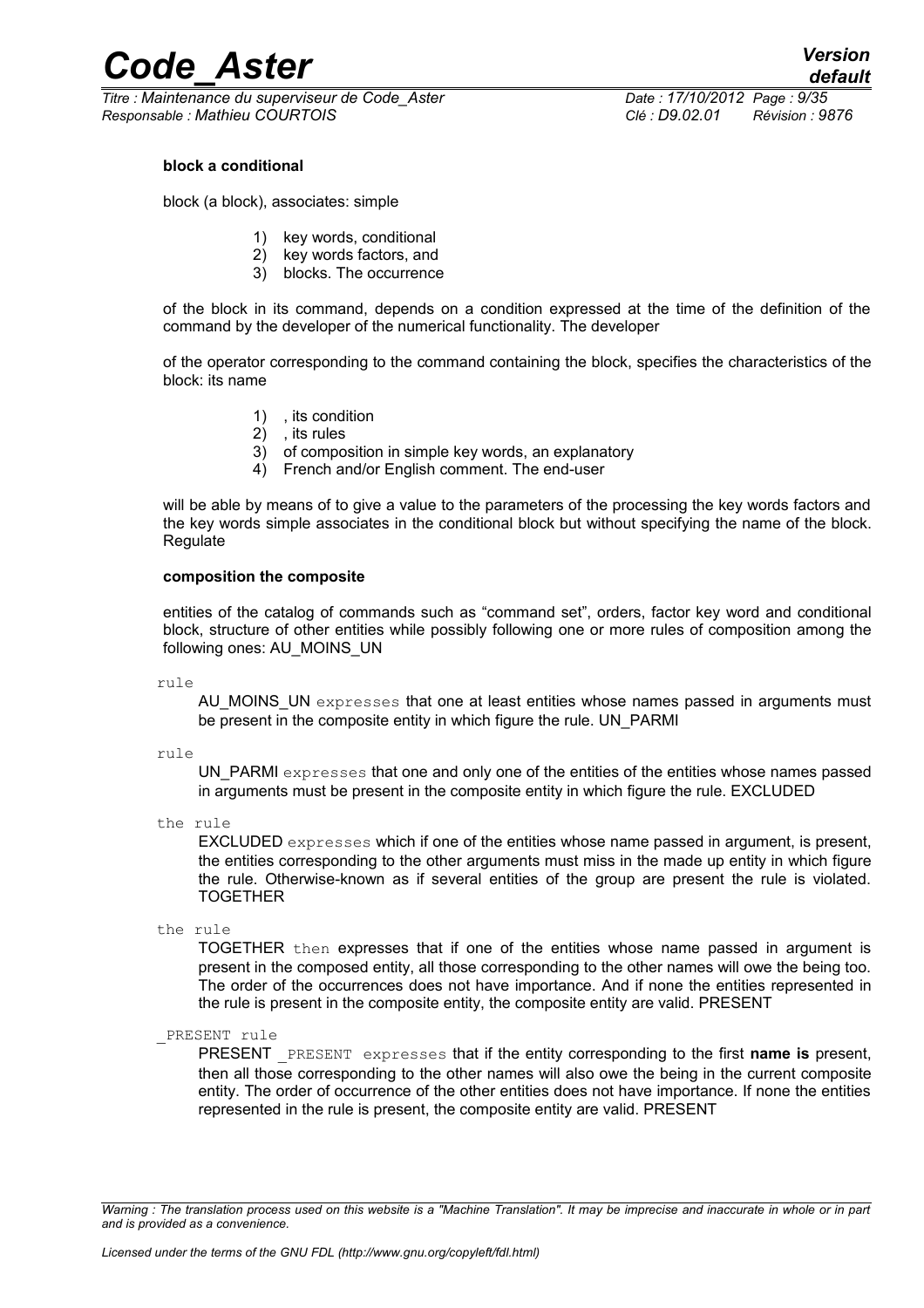*Titre : Maintenance du superviseur de Code\_Aster Date : 17/10/2012 Page : 9/35 Responsable : Mathieu COURTOIS Clé : D9.02.01 Révision : 9876*

#### **block a conditional**

block (a block), associates: simple

- 1) key words, conditional
- 2) key words factors, and
- 3) blocks. The occurrence

of the block in its command, depends on a condition expressed at the time of the definition of the command by the developer of the numerical functionality. The developer

of the operator corresponding to the command containing the block, specifies the characteristics of the block: its name

- 1) , its condition
- 2) , its rules
- 3) of composition in simple key words, an explanatory
- 4) French and/or English comment. The end-user

will be able by means of to give a value to the parameters of the processing the key words factors and the key words simple associates in the conditional block but without specifying the name of the block. **Regulate** 

#### **composition the composite**

entities of the catalog of commands such as "command set", orders, factor key word and conditional block, structure of other entities while possibly following one or more rules of composition among the following ones: AU\_MOINS\_UN

rule

AU MOINS UN expresses that one at least entities whose names passed in arguments must be present in the composite entity in which figure the rule. UN\_PARMI

rule

UN PARMI expresses that one and only one of the entities of the entities whose names passed in arguments must be present in the composite entity in which figure the rule. EXCLUDED

the rule

EXCLUDED expresses which if one of the entities whose name passed in argument, is present, the entities corresponding to the other arguments must miss in the made up entity in which figure the rule. Otherwise-known as if several entities of the group are present the rule is violated. TOGETHER

the rule

TOGETHER then expresses that if one of the entities whose name passed in argument is present in the composed entity, all those corresponding to the other names will owe the being too. The order of the occurrences does not have importance. And if none the entities represented in the rule is present in the composite entity, the composite entity are valid. PRESENT

PRESENT rule

PRESENT \_PRESENT expresses that if the entity corresponding to the first **name is** present, then all those corresponding to the other names will also owe the being in the current composite entity. The order of occurrence of the other entities does not have importance. If none the entities represented in the rule is present, the composite entity are valid. PRESENT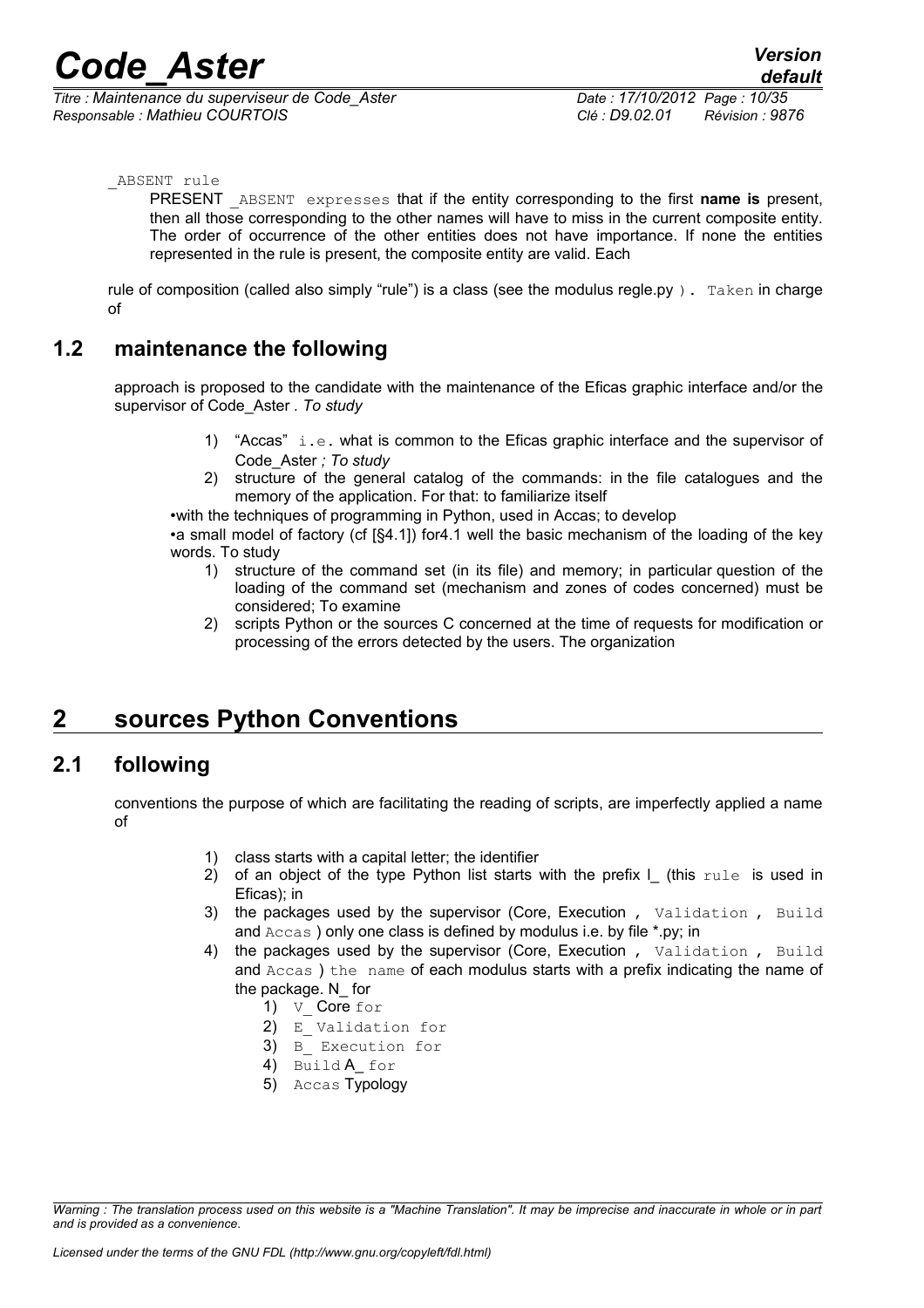*Titre : Maintenance du superviseur de Code\_Aster Date : 17/10/2012 Page : 10/35 Responsable : Mathieu COURTOIS Clé : D9.02.01 Révision : 9876*

#### ABSENT rule

PRESENT \_ABSENT expresses that if the entity corresponding to the first **name is** present, then all those corresponding to the other names will have to miss in the current composite entity. The order of occurrence of the other entities does not have importance. If none the entities represented in the rule is present, the composite entity are valid. Each

rule of composition (called also simply "rule") is a class (see the modulus regle.py). Taken in charge of

### **1.2 maintenance the following**

approach is proposed to the candidate with the maintenance of the Eficas graphic interface and/or the supervisor of Code\_Aster *. To study*

- 1) "Accas" i.e. what is common to the Eficas graphic interface and the supervisor of Code\_Aster *; To study*
- 2) structure of the general catalog of the commands: in the file catalogues and the memory of the application. For that: to familiarize itself

•with the techniques of programming in Python, used in Accas; to develop

•a small model of factory (cf [§4.1]) fo[r4.1](#page-17-1) well the basic mechanism of the loading of the key words. To study

- 1) structure of the command set (in its file) and memory; in particular question of the loading of the command set (mechanism and zones of codes concerned) must be considered; To examine
- 2) scripts Python or the sources C concerned at the time of requests for modification or processing of the errors detected by the users. The organization

## <span id="page-9-0"></span>**2 sources Python Conventions**

### **2.1 following**

conventions the purpose of which are facilitating the reading of scripts, are imperfectly applied a name of

- 1) class starts with a capital letter; the identifier
- 2) of an object of the type Python list starts with the prefix  $\mathsf I$  (this rule is used in Eficas); in
- 3) the packages used by the supervisor (Core, Execution , Validation , Build and Accas ) only one class is defined by modulus i.e. by file \*.py; in
- 4) the packages used by the supervisor (Core, Execution , Validation , Build and Accas ) the name of each modulus starts with a prefix indicating the name of the package. N\_ for
	- 1) V Core for
	- 2) E Validation for
	- 3) B Execution for
	- 4) Build A for
	- 5) Accas Typology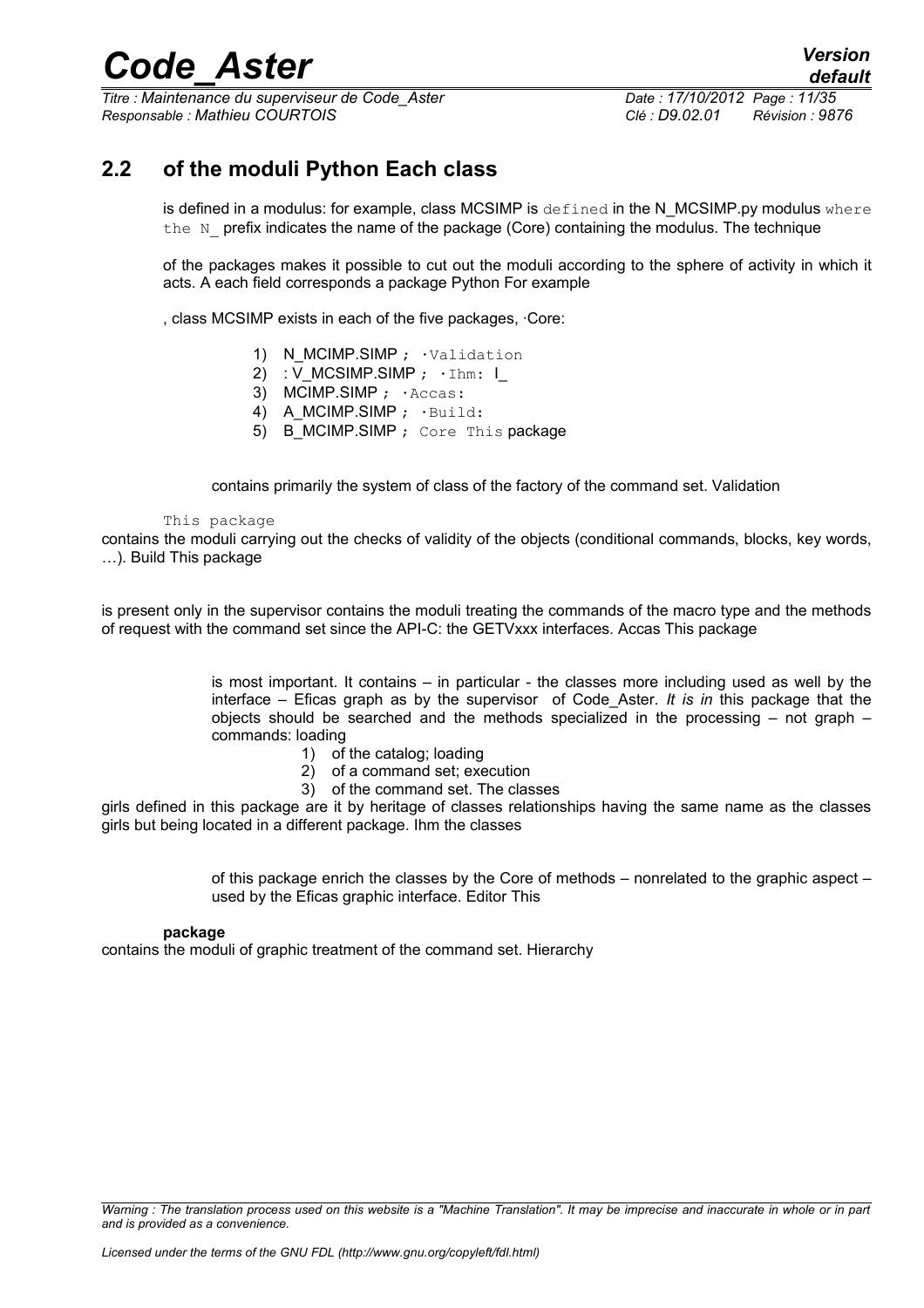*Titre : Maintenance du superviseur de Code\_Aster Date : 17/10/2012 Page : 11/35 Responsable : Mathieu COURTOIS Clé : D9.02.01 Révision : 9876*

## **2.2 of the moduli Python Each class**

is defined in a modulus: for example, class MCSIMP is  $\det$  in the N MCSIMP.py modulus where the N prefix indicates the name of the package (Core) containing the modulus. The technique

of the packages makes it possible to cut out the moduli according to the sphere of activity in which it acts. A each field corresponds a package Python For example

, class MCSIMP exists in each of the five packages, ·Core:

- 1) N\_MCIMP.SIMP ; · Validation
- 2) : V\_MCSIMP.SIMP ;  $\cdot$  Ihm: I\_
- 3) MCIMP.SIMP ; · Accas:
- 4) A\_MCIMP.SIMP ;  $\cdot$ Build:
- 5) B MCIMP.SIMP ; Core This package

contains primarily the system of class of the factory of the command set. Validation

#### This package

contains the moduli carrying out the checks of validity of the objects (conditional commands, blocks, key words, …). Build This package

is present only in the supervisor contains the moduli treating the commands of the macro type and the methods of request with the command set since the API-C: the GETVxxx interfaces. Accas This package

> is most important. It contains – in particular - the classes more including used as well by the interface – Eficas graph as by the supervisor of Code\_Aster. *It is in* this package that the objects should be searched and the methods specialized in the processing – not graph – commands: loading

- 1) of the catalog; loading
- 2) of a command set; execution
- 3) of the command set. The classes

girls defined in this package are it by heritage of classes relationships having the same name as the classes girls but being located in a different package. Ihm the classes

> of this package enrich the classes by the Core of methods – nonrelated to the graphic aspect – used by the Eficas graphic interface. Editor This

#### **package**

contains the moduli of graphic treatment of the command set. Hierarchy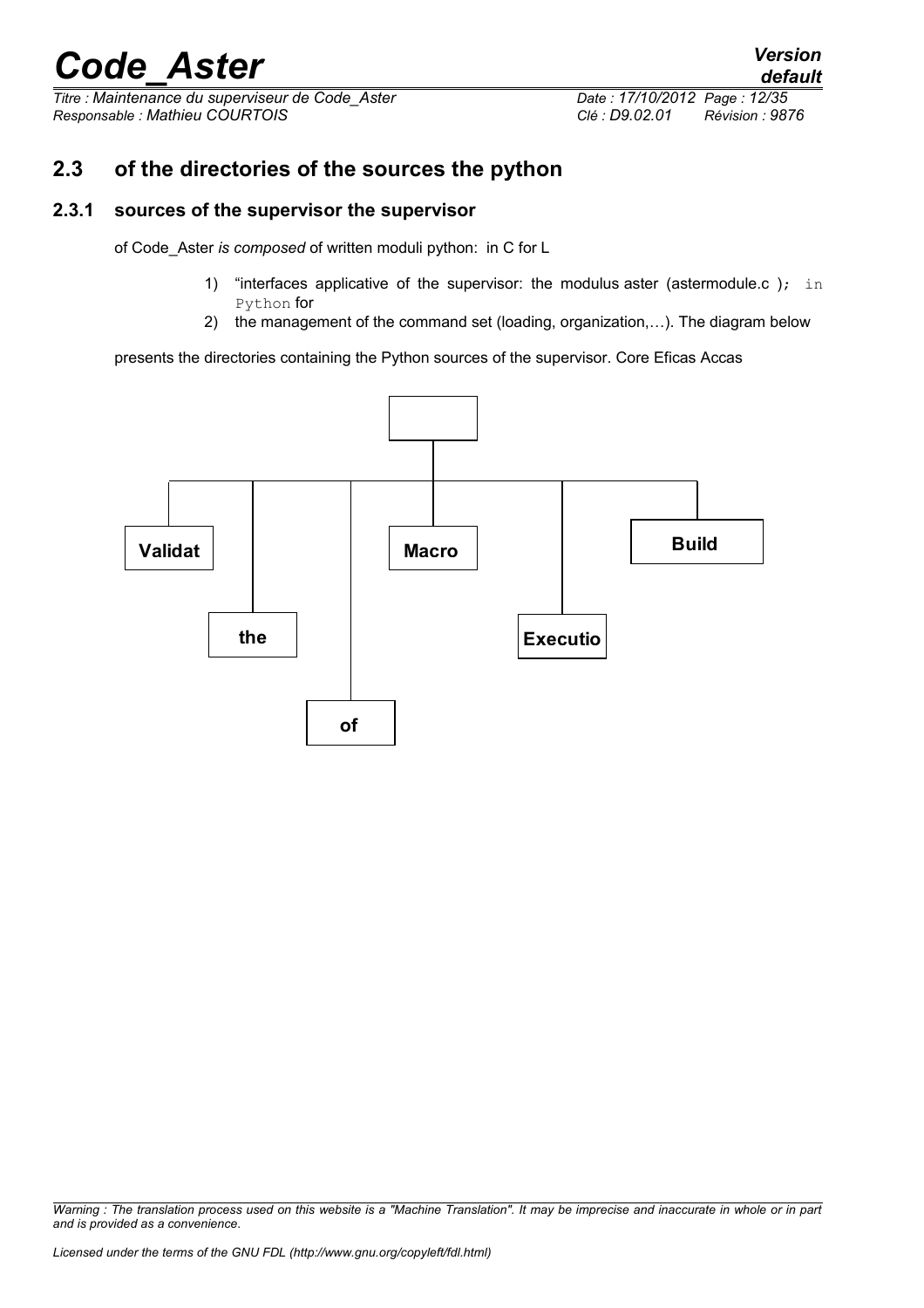*Titre : Maintenance du superviseur de Code\_Aster Date : 17/10/2012 Page : 12/35 Responsable : Mathieu COURTOIS Clé : D9.02.01 Révision : 9876*

## **2.3 of the directories of the sources the python**

### **2.3.1 sources of the supervisor the supervisor**

of Code\_Aster *is composed* of written moduli python: in C for L

- 1) "interfaces applicative of the supervisor: the modulus aster (astermodule.c ); in Python for
- 2) the management of the command set (loading, organization,…). The diagram below

presents the directories containing the Python sources of the supervisor. Core Eficas Accas



*Warning : The translation process used on this website is a "Machine Translation". It may be imprecise and inaccurate in whole or in part and is provided as a convenience.*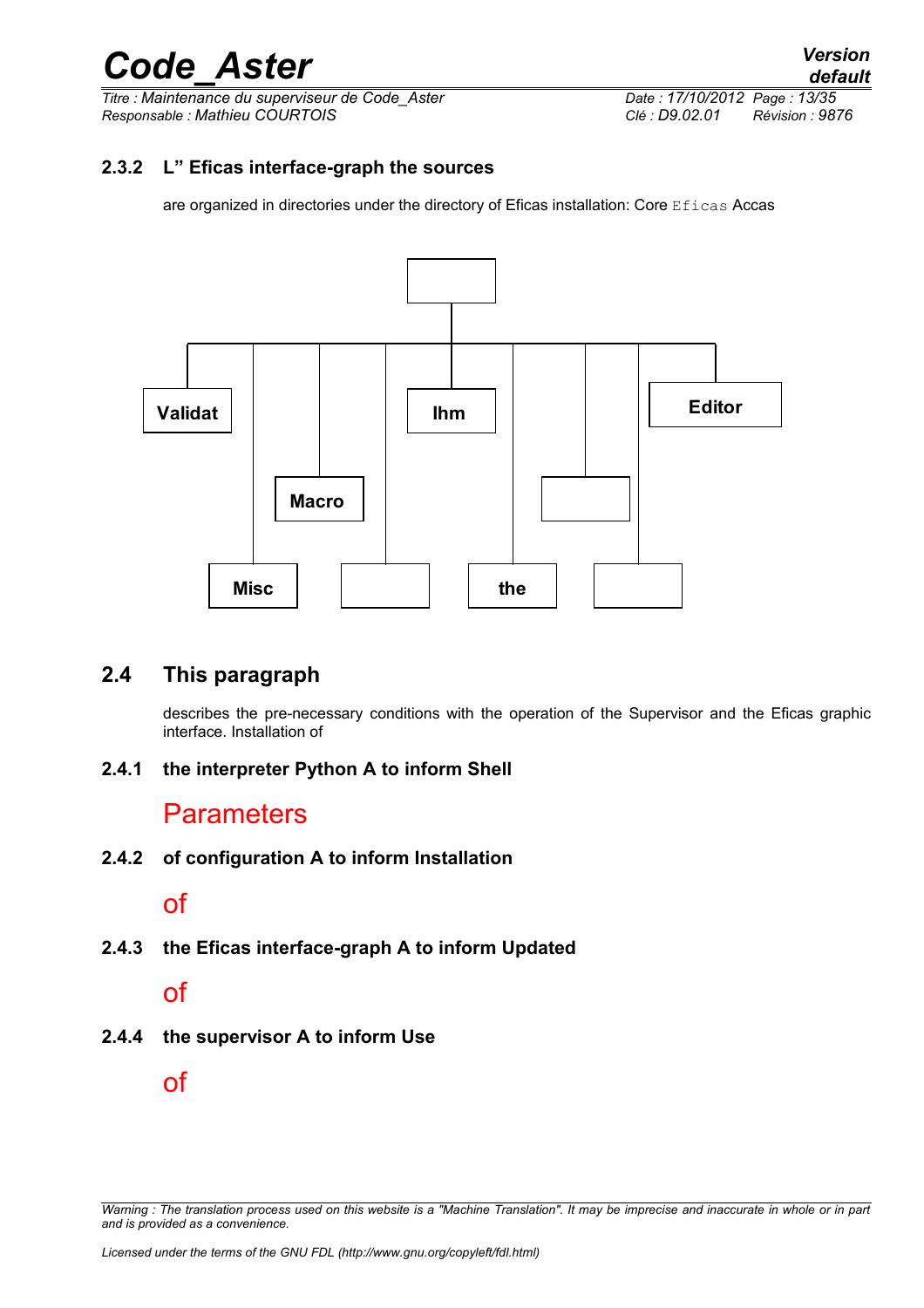*Titre : Maintenance du superviseur de Code\_Aster Date : 17/10/2012 Page : 13/35*<br>*Responsable : Mathieu COURTOIS De Servision : 98 Responsable : Mathieu COURTOIS Clé : D9.02.01 Révision : 9876*

### **2.3.2 L" Eficas interface-graph the sources**

are organized in directories under the directory of Eficas installation: Core Eficas Accas



## **2.4 This paragraph**

describes the pre-necessary conditions with the operation of the Supervisor and the Eficas graphic interface. Installation of

### **2.4.1 the interpreter Python A to inform Shell**

## **Parameters**

**2.4.2 of configuration A to inform Installation**

## of

**2.4.3 the Eficas interface-graph A to inform Updated**

## of

**2.4.4 the supervisor A to inform Use**

of

*Warning : The translation process used on this website is a "Machine Translation". It may be imprecise and inaccurate in whole or in part and is provided as a convenience.*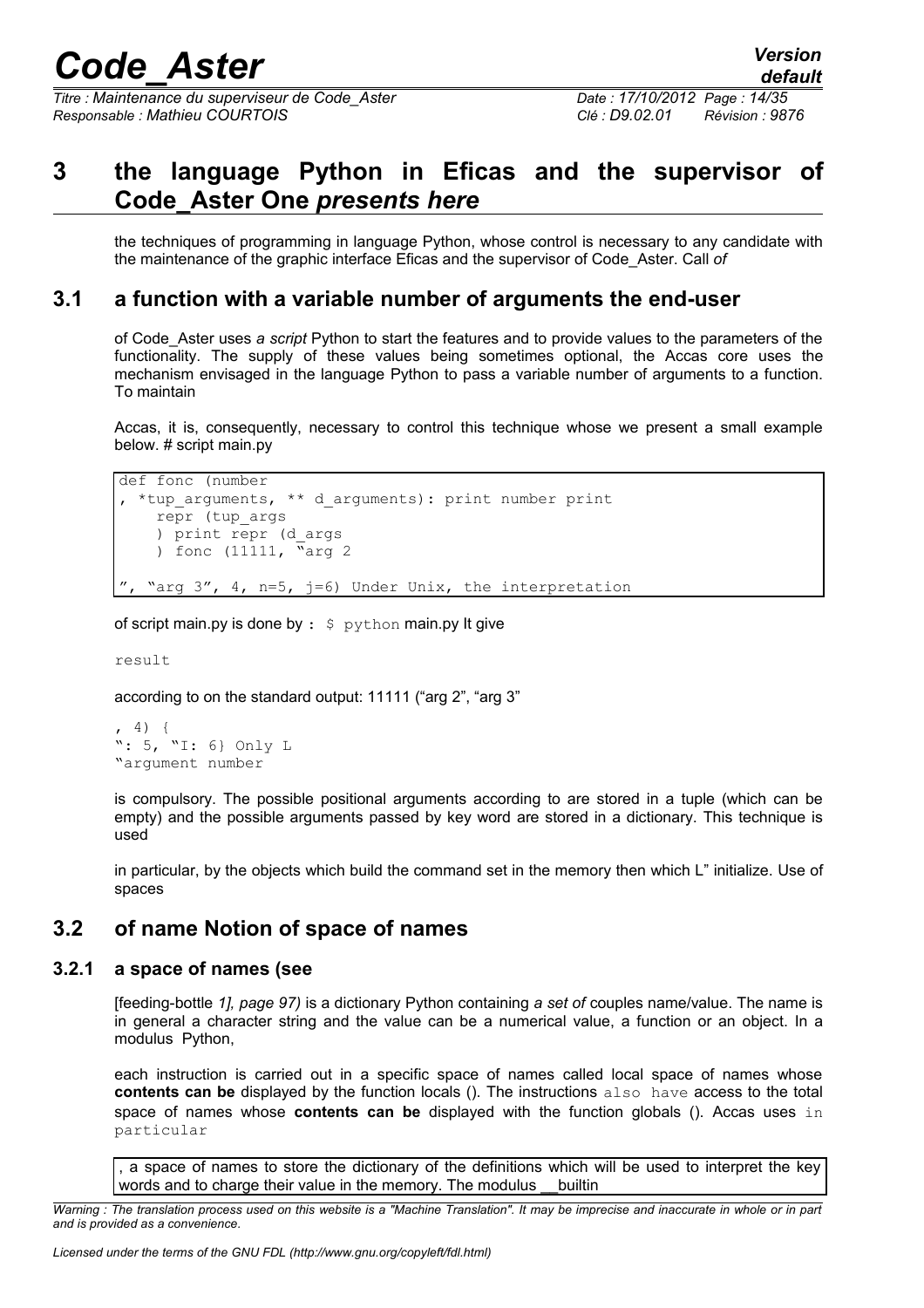*Titre : Maintenance du superviseur de Code\_Aster Date : 17/10/2012 Page : 14/35 Responsable : Mathieu COURTOIS Clé : D9.02.01 Révision : 9876*

## **3 the language Python in Eficas and the supervisor of Code\_Aster One** *presents here*

the techniques of programming in language Python, whose control is necessary to any candidate with the maintenance of the graphic interface Eficas and the supervisor of Code\_Aster. Call *of*

### **3.1 a function with a variable number of arguments the end-user**

of Code\_Aster uses *a script* Python to start the features and to provide values to the parameters of the functionality. The supply of these values being sometimes optional, the Accas core uses the mechanism envisaged in the language Python to pass a variable number of arguments to a function. To maintain

Accas, it is, consequently, necessary to control this technique whose we present a small example below. # script main.py

```
def fonc (number
, *tup_arguments, ** d_arguments): print number print
     repr (tup_args
     ) print repr (d_args
    ) fonc (11111, \bar{N}_{\text{arg 2}}"arg 3'', 4, n=5, j=6) Under Unix, the interpretation
```
of script main.py is done by  $:$   $\Diamond$  python main.py It give

result

according to on the standard output: 11111 ("arg 2", "arg 3"

```
, 4) {
": 5, "I: 6} Only L
"argument number
```
is compulsory. The possible positional arguments according to are stored in a tuple (which can be empty) and the possible arguments passed by key word are stored in a dictionary. This technique is used

in particular, by the objects which build the command set in the memory then which L" initialize. Use of spaces

### **3.2 of name Notion of space of names**

### **3.2.1 a space of names (see**

[feeding-bottle *1], page 97)* is a dictionary Python containing *a set of* couples name/value. The name is in general a character string and the value can be a numerical value, a function or an object. In a modulus Python,

each instruction is carried out in a specific space of names called local space of names whose **contents can be** displayed by the function locals (). The instructions also have access to the total space of names whose **contents can be** displayed with the function globals (). Accas uses in particular

, a space of names to store the dictionary of the definitions which will be used to interpret the key words and to charge their value in the memory. The modulus builtin

*Warning : The translation process used on this website is a "Machine Translation". It may be imprecise and inaccurate in whole or in part and is provided as a convenience.*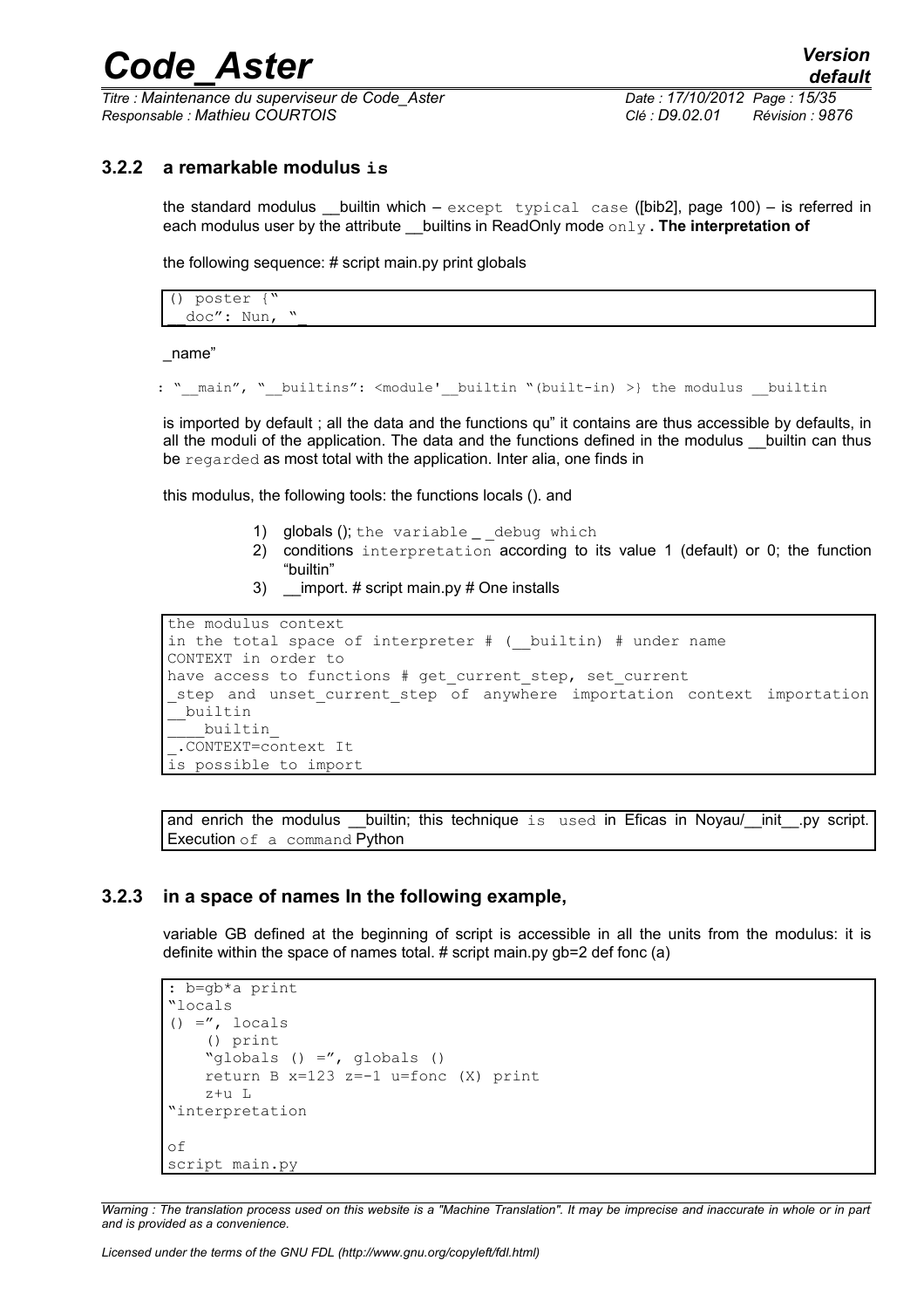*Titre : Maintenance du superviseur de Code\_Aster Date : 17/10/2012 Page : 15/35 Responsable : Mathieu COURTOIS Clé : D9.02.01 Révision : 9876*

### **3.2.2 a remarkable modulus is**

the standard modulus builtin which – except typical case ( $[bib2]$ , page 100) – is referred in each modulus user by the attribute builtins in ReadOnly mode only **. The interpretation of** 

the following sequence: # script main.py print globals

() poster {" doc": Nun, "

\_name"

```
: " main", " builtins": <module' builtin "(built-in) >} the modulus __builtin
```
is imported by default ; all the data and the functions qu" it contains are thus accessible by defaults, in all the moduli of the application. The data and the functions defined in the modulus \_\_builtin can thus be regarded as most total with the application. Inter alia, one finds in

this modulus, the following tools: the functions locals (). and

- 1) globals (); the variable \_ \_ debug which
- 2) conditions interpretation according to its value 1 (default) or 0; the function "builtin"
- 3) \_\_import. # script main.py # One installs

```
the modulus context
in the total space of interpreter # ( builtin) # under name
CONTEXT in order to
have access to functions # get current step, set current
step and unset current step of anywhere importation context importation
 __builtin
   ____builtin_
 _.CONTEXT=context It
is possible to import
```
and enrich the modulus \_\_builtin; this technique is used in Eficas in Noyau/\_\_init\_\_.py script. Execution of a command Python

### **3.2.3 in a space of names In the following example,**

variable GB defined at the beginning of script is accessible in all the units from the modulus: it is definite within the space of names total. # script main.py gb=2 def fonc (a)

```
: b=gb*a print
"locals
() =", locals
     () print
     "globals () =", globals ()
     return B x=123 z=-1 u=fonc (X) print
     z+u L
"interpretation
of
script main.py
```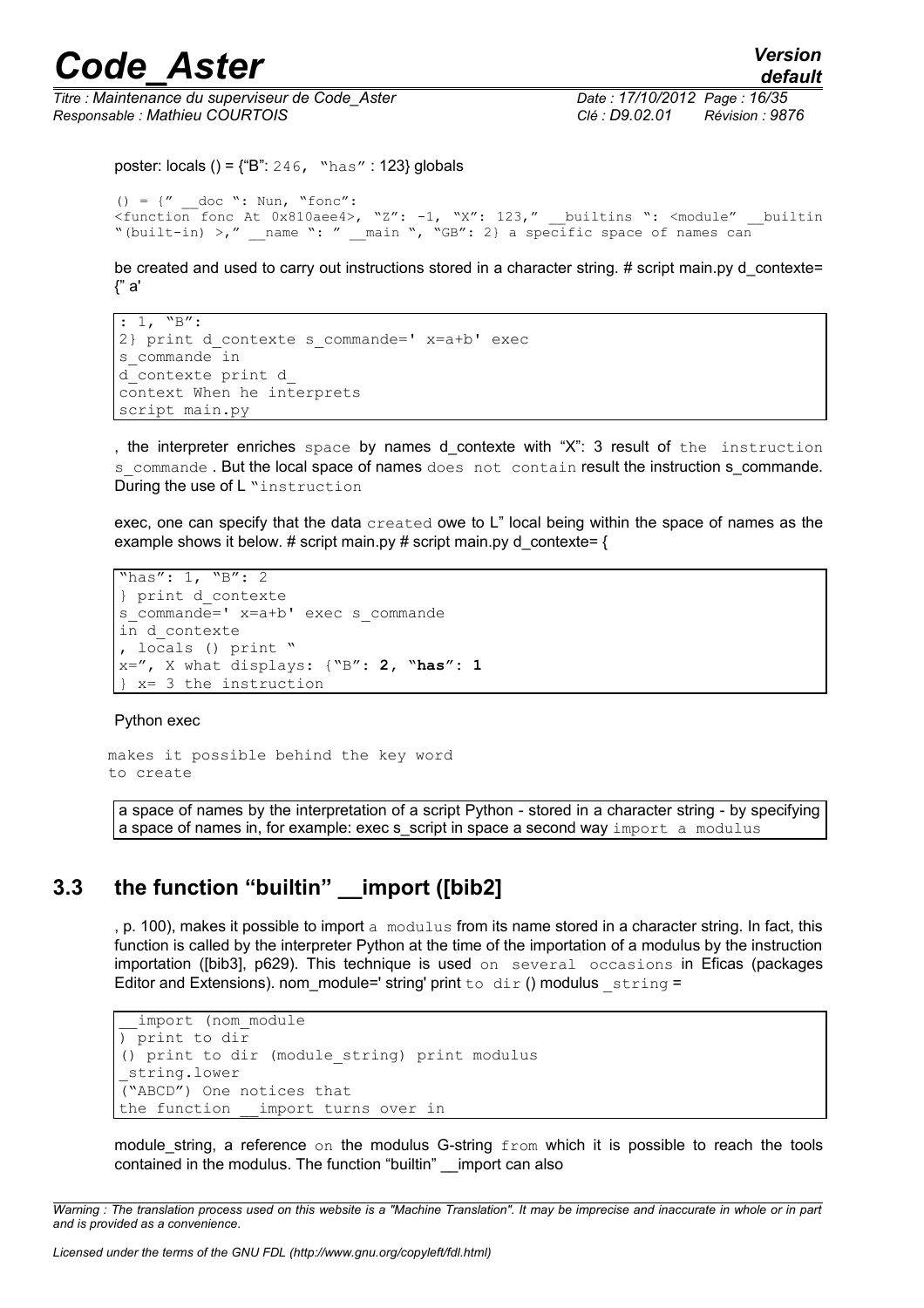*Titre : Maintenance du superviseur de Code\_Aster Date : 17/10/2012 Page : 16/35 Responsable : Mathieu COURTOIS Clé : D9.02.01 Révision : 9876*

```
poster: locals () = \{\text{``B": } 246, \text{``has''} : 123\} globals
```

```
() = \{" doc ": Nun, "fonc":
\frac{1}{2}<br>
\frac{1}{2} \frac{1}{2} \frac{1}{2} \frac{1}{2} \frac{1}{2} \frac{1}{2} \frac{1}{2} \frac{1}{2} \frac{1}{2} \frac{1}{2} \frac{1}{2} \frac{1}{2} \frac{1}{2} \frac{1}{2} \frac{1}{2} \frac{1}{2} \frac{1}{2} \frac{1}{2} \frac{1}{2} \frac{1}{2} \frac{1}{2} 
"(built-in) >," __name ": " __ main ", "GB": 2} a specific space of names can
```
be created and used to carry out instructions stored in a character string. # script main.py d\_contexte= {" a'

```
: 1, "B":2} print d contexte s commande=' x=a+b' exec
s commande in
d_contexte print d_
context When he interprets
script main.py
```
, the interpreter enriches space by names d\_contexte with "X": 3 result of the instruction s\_commande . But the local space of names does not contain result the instruction s\_commande. During the use of L "instruction

exec, one can specify that the data created owe to L" local being within the space of names as the example shows it below. # script main.py # script main.py d\_contexte=  $\{$ 

```
"has": 1, "B": 2
} print d_contexte
s commande=' x=a+b' exec s commande
in d_contexte
, locals () print "
x=", X what displays: {"B": 2, "has": 1
} x= 3 the instruction
```
Python exec

makes it possible behind the key word to create

a space of names by the interpretation of a script Python - stored in a character string - by specifying a space of names in, for example: exec s\_script in space a second way import a modulus

## **3.3 the function "builtin" \_\_import ([bib2]**

, p. 100), makes it possible to import a modulus from its name stored in a character string. In fact, this function is called by the interpreter Python at the time of the importation of a modulus by the instruction importation ([bib3], p629). This technique is used on several occasions in Eficas (packages Editor and Extensions). nom\_module=' string' print to  $dir()$  modulus  $string =$ 

```
import (nom module
) print to dir
() print to dir (module_string) print modulus
string.lower
("ABCD") One notices that
the function import turns over in
```
module string, a reference on the modulus G-string  $from$  which it is possible to reach the tools contained in the modulus. The function "builtin" import can also

*Warning : The translation process used on this website is a "Machine Translation". It may be imprecise and inaccurate in whole or in part and is provided as a convenience.*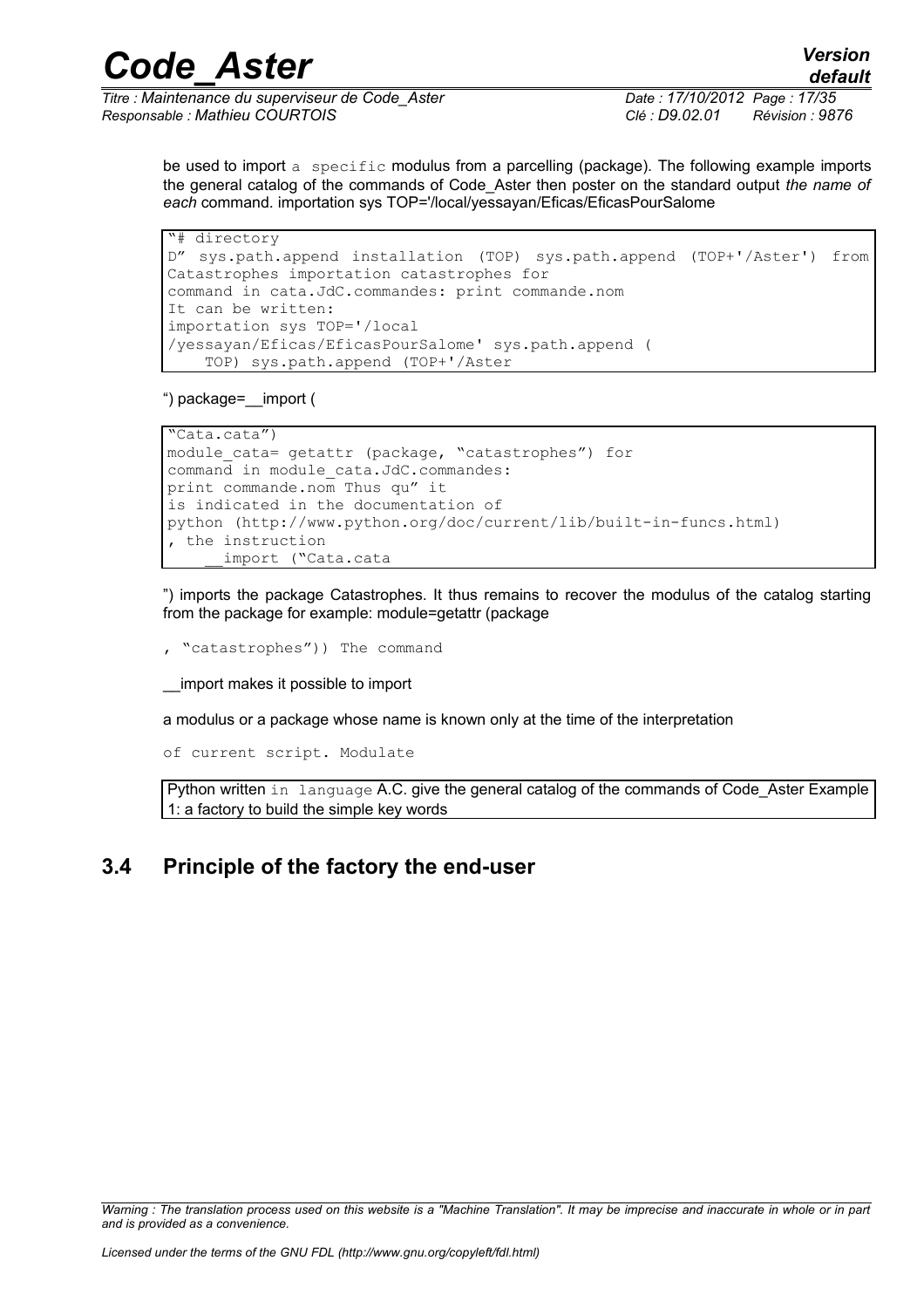*Titre : Maintenance du superviseur de Code\_Aster Date : 17/10/2012 Page : 17/35 Responsable : Mathieu COURTOIS Clé : D9.02.01 Révision : 9876*

be used to import a specific modulus from a parcelling (package). The following example imports the general catalog of the commands of Code\_Aster then poster on the standard output *the name of each* command. importation sys TOP='/local/yessayan/Eficas/EficasPourSalome

```
"# directory
D" sys.path.append installation (TOP) sys.path.append (TOP+'/Aster') from
Catastrophes importation catastrophes for
command in cata.JdC.commandes: print commande.nom
It can be written: 
importation sys TOP='/local
/yessayan/Eficas/EficasPourSalome' sys.path.append (
     TOP) sys.path.append (TOP+'/Aster
```
") package=\_\_import (

```
"Cata.cata")
module cata= getattr (package, "catastrophes") for
command in module_cata.JdC.commandes: 
print commande.nom Thus qu" it
is indicated in the documentation of
python (http://www.python.org/doc/current/lib/built-in-funcs.html)
, the instruction
       __import ("Cata.cata
```
") imports the package Catastrophes. It thus remains to recover the modulus of the catalog starting from the package for example: module=getattr (package

, "catastrophes")) The command

\_\_import makes it possible to import

a modulus or a package whose name is known only at the time of the interpretation

of current script. Modulate

Python written in language A.C. give the general catalog of the commands of Code\_Aster Example 1: a factory to build the simple key words

## **3.4 Principle of the factory the end-user**

# *Code\_Aster Version*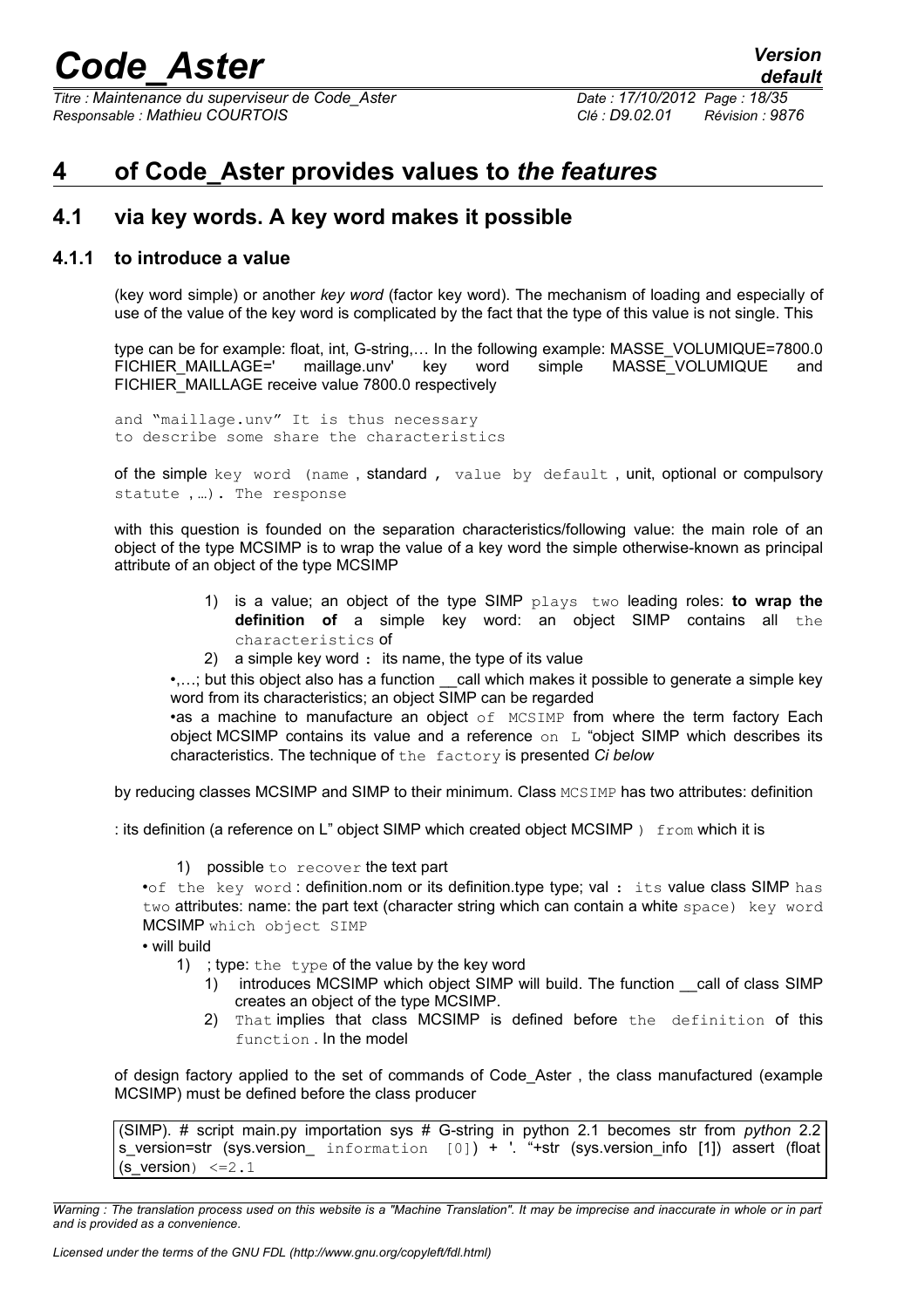*Titre : Maintenance du superviseur de Code\_Aster Date : 17/10/2012 Page : 18/35 Responsable : Mathieu COURTOIS Clé : D9.02.01 Révision : 9876*

## <span id="page-17-0"></span>**4 of Code\_Aster provides values to** *the features*

### <span id="page-17-1"></span>**4.1 via key words. A key word makes it possible**

### **4.1.1 to introduce a value**

(key word simple) or another *key word* (factor key word). The mechanism of loading and especially of use of the value of the key word is complicated by the fact that the type of this value is not single. This

type can be for example: float, int, G-string,… In the following example: MASSE\_VOLUMIQUE=7800.0 FICHIER\_MAILLAGE=' maillage.unv' key word simple MASSE\_VOLUMIQUE and FICHIER\_MAILLAGE receive value 7800.0 respectively

and "maillage.unv" It is thus necessary to describe some share the characteristics

of the simple key word (name , standard , value by default , unit, optional or compulsory statute , …). The response

with this question is founded on the separation characteristics/following value: the main role of an object of the type MCSIMP is to wrap the value of a key word the simple otherwise-known as principal attribute of an object of the type MCSIMP

- 1) is a value; an object of the type SIMP plays two leading roles: **to wrap the definition of** a simple key word: an object SIMP contains all the characteristics of
- 2) a simple key word : its name, the type of its value

•....; but this object also has a function call which makes it possible to generate a simple key word from its characteristics; an object SIMP can be regarded

•as a machine to manufacture an object of MCSIMP from where the term factory Each object MCSIMP contains its value and a reference  $\circ$ n L "object SIMP which describes its characteristics. The technique of the factory is presented *Ci below*

by reducing classes MCSIMP and SIMP to their minimum. Class MCSIMP has two attributes: definition

: its definition (a reference on  $L^{\prime\prime}$  object SIMP which created object MCSIMP ) from which it is

1) possible to recover the text part

•of the key word : definition.nom or its definition.type type; val : its value class SIMP has two attributes: name: the part text (character string which can contain a white space) key word MCSIMP which object SIMP

• will build

- 1) ; type: the type of the value by the key word
	- 1) introduces MCSIMP which object SIMP will build. The function call of class SIMP creates an object of the type MCSIMP.
	- 2) That implies that class MCSIMP is defined before the definition of this function . In the model

of design factory applied to the set of commands of Code\_Aster , the class manufactured (example MCSIMP) must be defined before the class producer

(SIMP). # script main.py importation sys # G-string in python 2.1 becomes str from *python* 2.2 s version=str (sys.version information  $[0]$ ) + '. "+str (sys.version info [1]) assert (float (s version)  $\leq=2.1$ 

*Warning : The translation process used on this website is a "Machine Translation". It may be imprecise and inaccurate in whole or in part and is provided as a convenience.*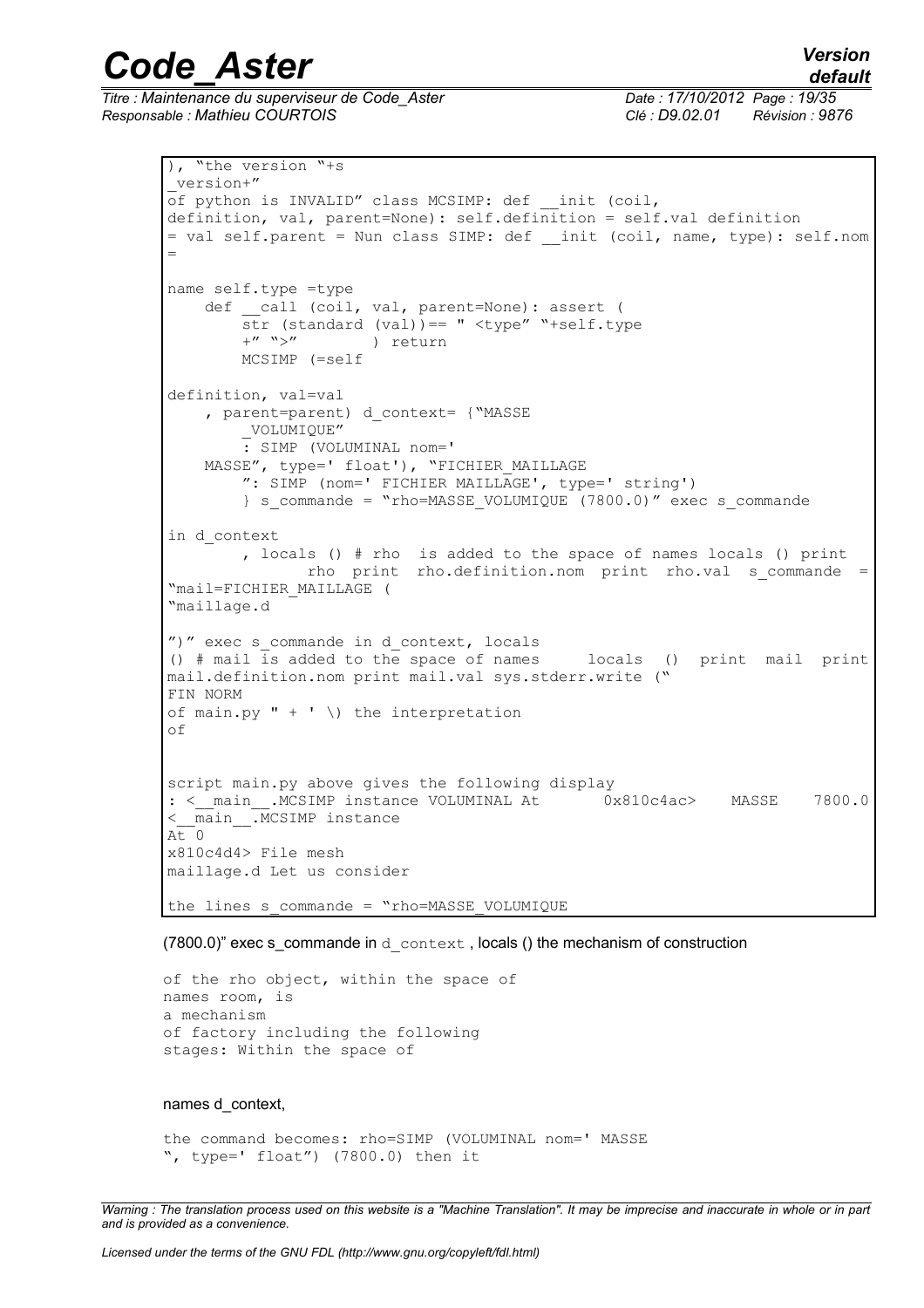*default*

# *Code\_Aster Version*

*Titre : Maintenance du superviseur de Code\_Aster Date : 17/10/2012 Page : 19/35 Responsable : Mathieu COURTOIS Clé : D9.02.01 Révision : 9876*

```
), "the version "+s
 _version+"
of python is INVALID" class MCSIMP: def __ init (coil,
definition, val, parent=None): self.definition = self.val definition
= val self.parent = Nun class SIMP: def __init (coil, name, type): self.nom
=
name self.type =type
   def call (coil, val, parent=None): assert (
        str (standard (val)) == " <type" "+self.type +" ">" ) return
                     ) return
         MCSIMP (=self 
definition, val=val
     , parent=parent) d_context= {"MASSE
         _VOLUMIQUE"
         : SIMP (VOLUMINAL nom='
   MASSE", type=' float'), "FICHIER MAILLAGE
         ": SIMP (nom=' FICHIER MAILLAGE', type=' string')
        } s commande = "rho=MASSE VOLUMIQUE (7800.0)" exec s commande
in d_context
         , locals () # rho is added to the space of names locals () print
                rho print rho.definition.nom print rho.val s_commande =
"mail=FICHIER_MAILLAGE (
"maillage.d
")" exec s commande in d context, locals
() # mail is added to the space of names locals () print mail print
mail.definition.nom print mail.val sys.stderr.write ("
FIN NORM
of main.py " + ' \ \rangle the interpretation
of
script main.py above gives the following display
: <__main__.MCSIMP instance VOLUMINAL At 0x810c4ac> MASSE 7800.0
\lt main .MCSIMP instance
A_t<sup>0</sup>
x810c4d4> File mesh
maillage.d Let us consider
the lines s commande = "rho=MASSE VOLUMIQUE
```
 $(7800.0)$ " exec s commande in d context, locals () the mechanism of construction

```
of the rho object, within the space of
names room, is
a mechanism
of factory including the following
stages: Within the space of
```
#### names d\_context,

the command becomes: rho=SIMP (VOLUMINAL nom=' MASSE ", type=' float") (7800.0) then it

*Warning : The translation process used on this website is a "Machine Translation". It may be imprecise and inaccurate in whole or in part and is provided as a convenience.*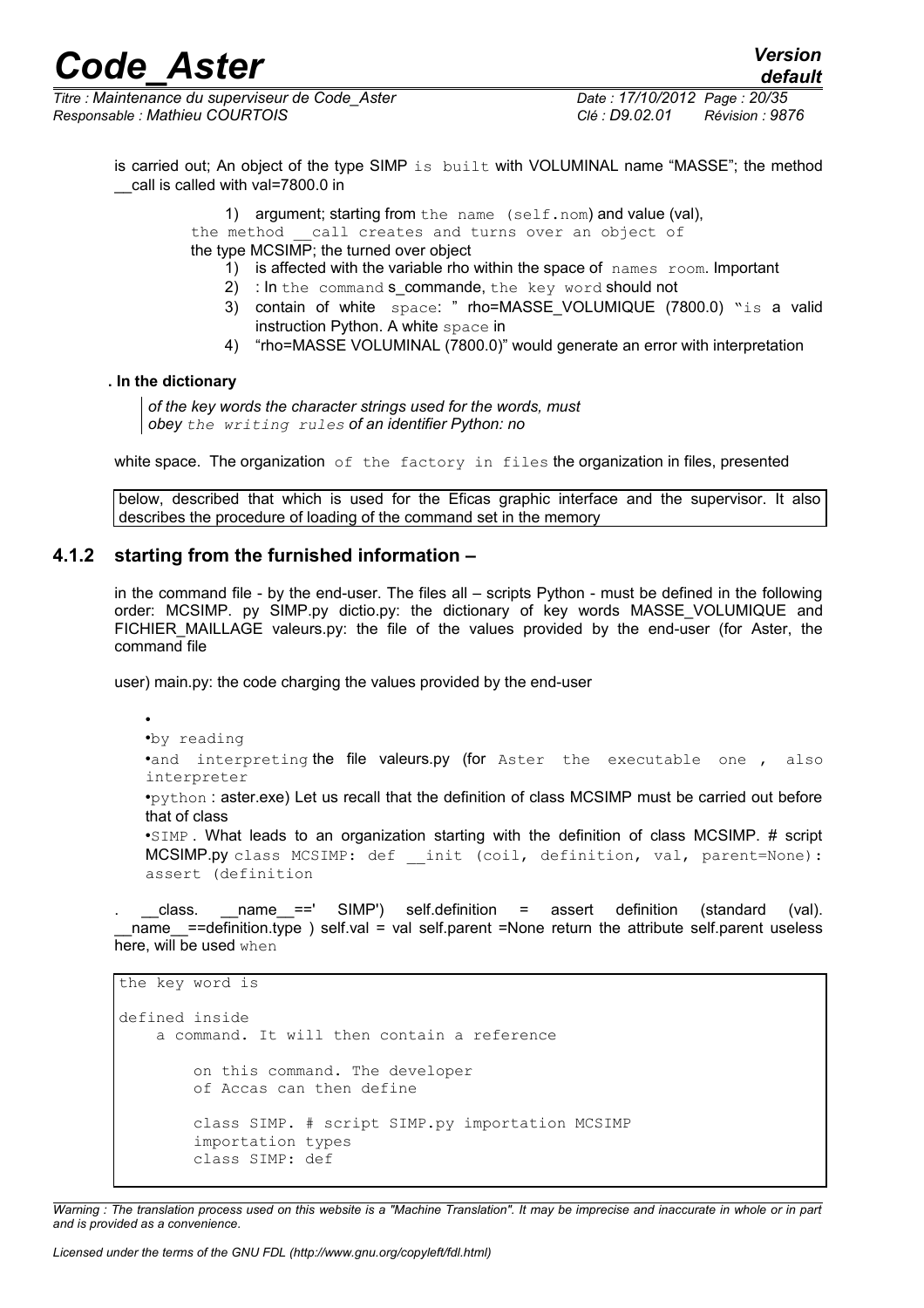*Titre : Maintenance du superviseur de Code\_Aster Date : 17/10/2012 Page : 20/35 Responsable : Mathieu COURTOIS Clé : D9.02.01 Révision : 9876*

*default*

is carried out; An object of the type SIMP is built with VOLUMINAL name "MASSE"; the method \_\_call is called with val=7800.0 in

1) argument; starting from the name (self.nom) and value (val),

the method call creates and turns over an object of

the type MCSIMP; the turned over object

- 1) is affected with the variable rho within the space of names room. Important
- 2) : In the command s\_commande, the key word should not
- 3) contain of white space: " rho=MASSE VOLUMIQUE (7800.0) "is a valid instruction Python. A white space in
- 4) "rho=MASSE VOLUMINAL (7800.0)" would generate an error with interpretation

**. In the dictionary**

*of the key words the character strings used for the words, must obey the writing rules of an identifier Python: no*

white space. The organization of the factory in files the organization in files, presented

below, described that which is used for the Eficas graphic interface and the supervisor. It also describes the procedure of loading of the command set in the memory

### **4.1.2 starting from the furnished information –**

in the command file - by the end-user. The files all – scripts Python - must be defined in the following order: MCSIMP. py SIMP.py dictio.py: the dictionary of key words MASSE\_VOLUMIQUE and FICHIER MAILLAGE valeurs.py: the file of the values provided by the end-user (for Aster, the command file

user) main.py: the code charging the values provided by the end-user

• •by reading •and interpreting the file valeurs.py (for Aster the executable one, also interpreter

•python : aster.exe) Let us recall that the definition of class MCSIMP must be carried out before that of class

•SIMP . What leads to an organization starting with the definition of class MCSIMP. # script MCSIMP.py class MCSIMP: def \_\_init (coil, definition, val, parent=None): assert (definition

class.  $\Box$  name ==' SIMP') self.definition = assert definition (standard (val). name  $=$ =definition.type ) self.val = val self.parent =None return the attribute self.parent useless here, will be used when

```
the key word is
defined inside
     a command. It will then contain a reference
         on this command. The developer
         of Accas can then define
         class SIMP. # script SIMP.py importation MCSIMP
         importation types
         class SIMP: def
```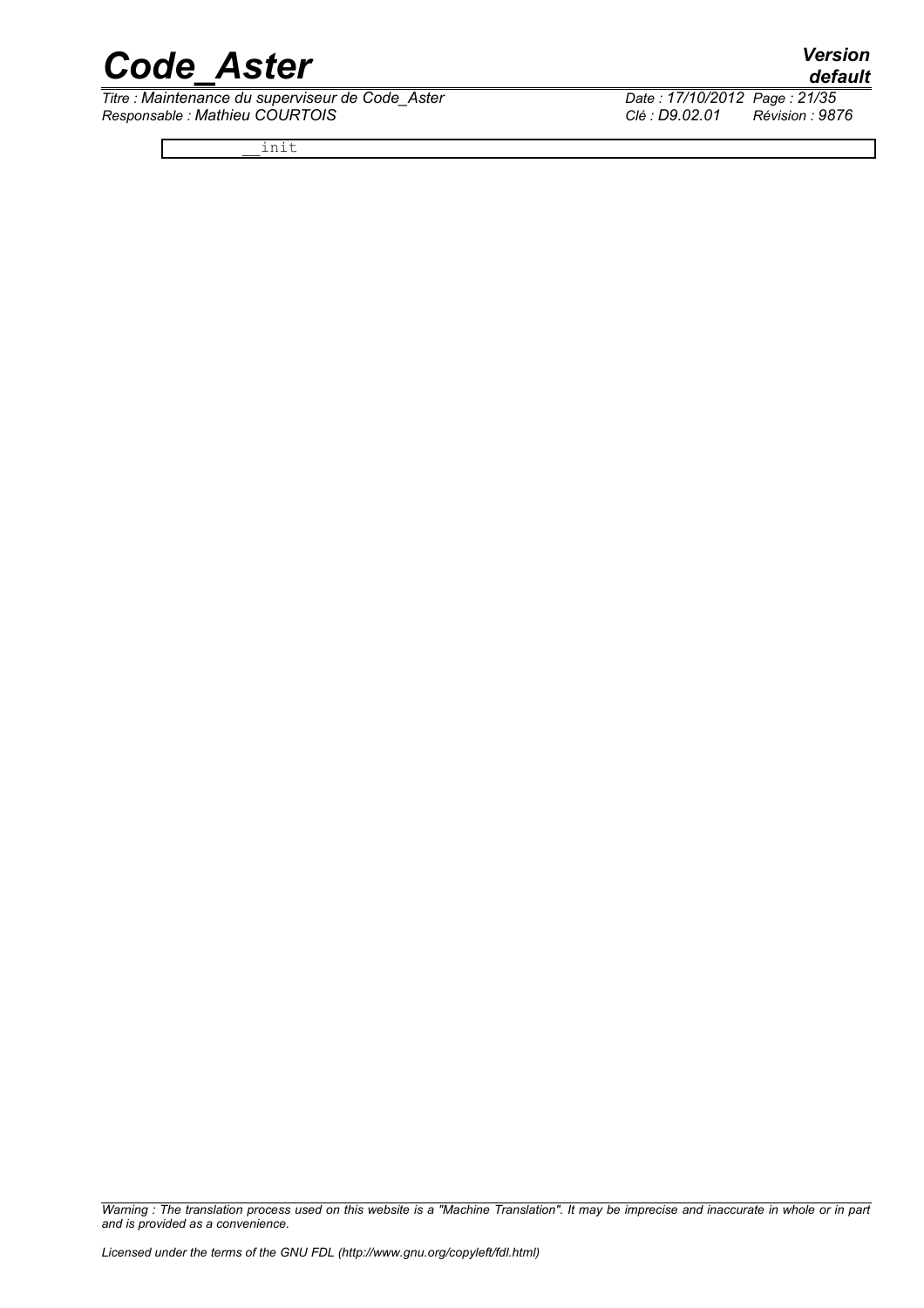*Titre : Maintenance du superviseur de Code\_Aster Date : 17/10/2012 Page : 21/35 Responsable : Mathieu COURTOIS Clé : D9.02.01 Révision : 9876*

\_\_init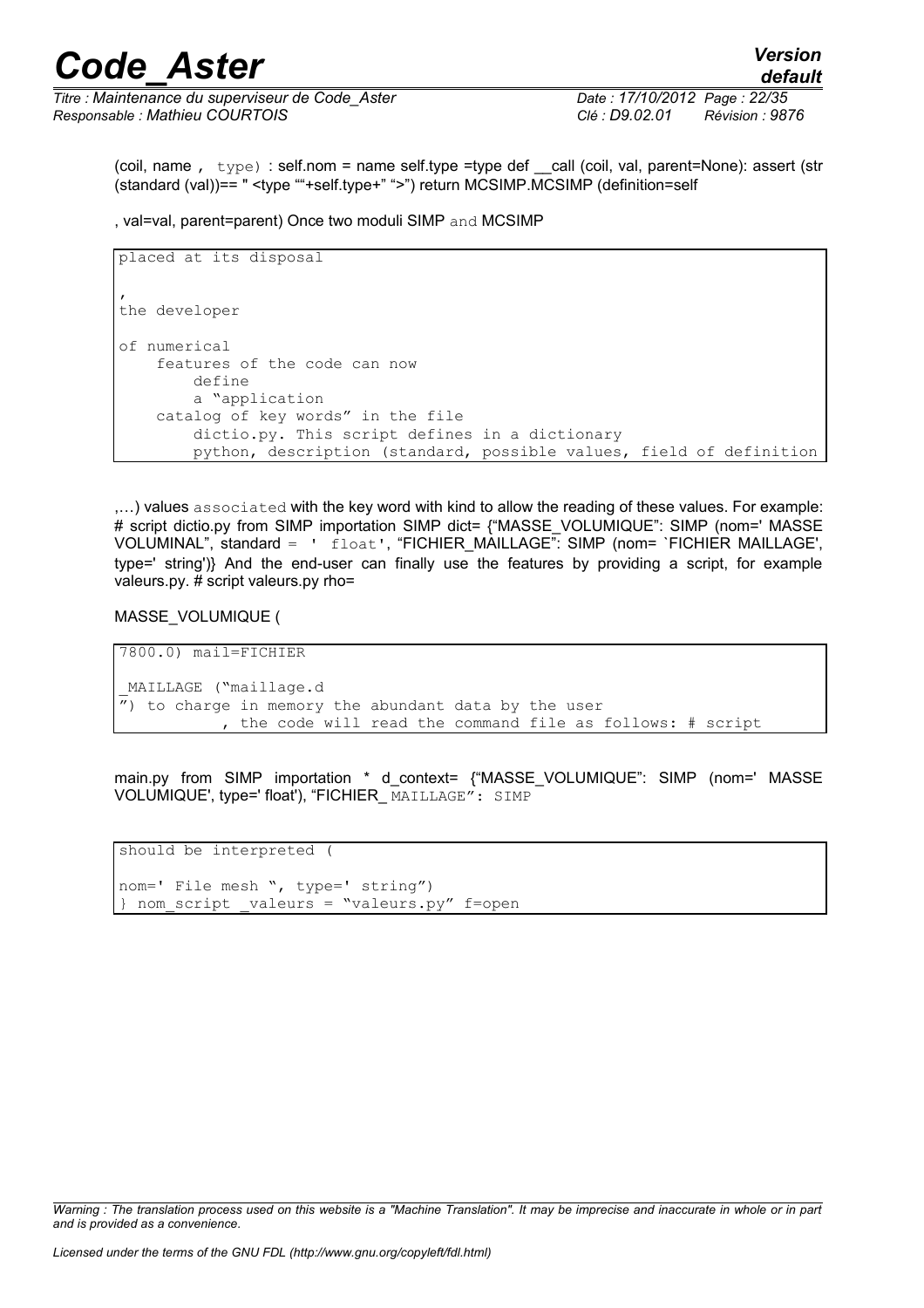*Titre : Maintenance du superviseur de Code\_Aster Date : 17/10/2012 Page : 22/35 Responsable : Mathieu COURTOIS Clé : D9.02.01 Révision : 9876*

(coil, name ,  $\text{type}$ ) : self.nom = name self.type =type def call (coil, val, parent=None): assert (str (standard (val))== " <type ""+self.type+" ">") return MCSIMP.MCSIMP (definition=self

, val=val, parent=parent) Once two moduli SIMP and MCSIMP

```
placed at its disposal
\mathbf{r}the developer
of numerical
     features of the code can now
         define
         a "application
     catalog of key words" in the file
         dictio.py. This script defines in a dictionary
         python, description (standard, possible values, field of definition
```
,…) values associated with the key word with kind to allow the reading of these values. For example: # script dictio.py from SIMP importation SIMP dict= {"MASSE VOLUMIQUE": SIMP (nom=' MASSE VOLUMINAL", standard = ' float', "FICHIER\_MAILLAGE": SIMP (nom= `FICHIER MAILLAGE', type=' string')} And the end-user can finally use the features by providing a script, for example valeurs.py. # script valeurs.py rho=

MASSE\_VOLUMIQUE (

7800.0) mail=FICHIER \_MAILLAGE ("maillage.d  $\overline{r}$ ) to charge in memory the abundant data by the user , the code will read the command file as follows: # script

main.py from SIMP importation \* d context= {"MASSE VOLUMIQUE": SIMP (nom=' MASSE VOLUMIQUE', type=' float'), "FICHIER\_ MAILLAGE": SIMP

should be interpreted ( nom=' File mesh ", type=' string") } nom script valeurs = "valeurs.py" f=open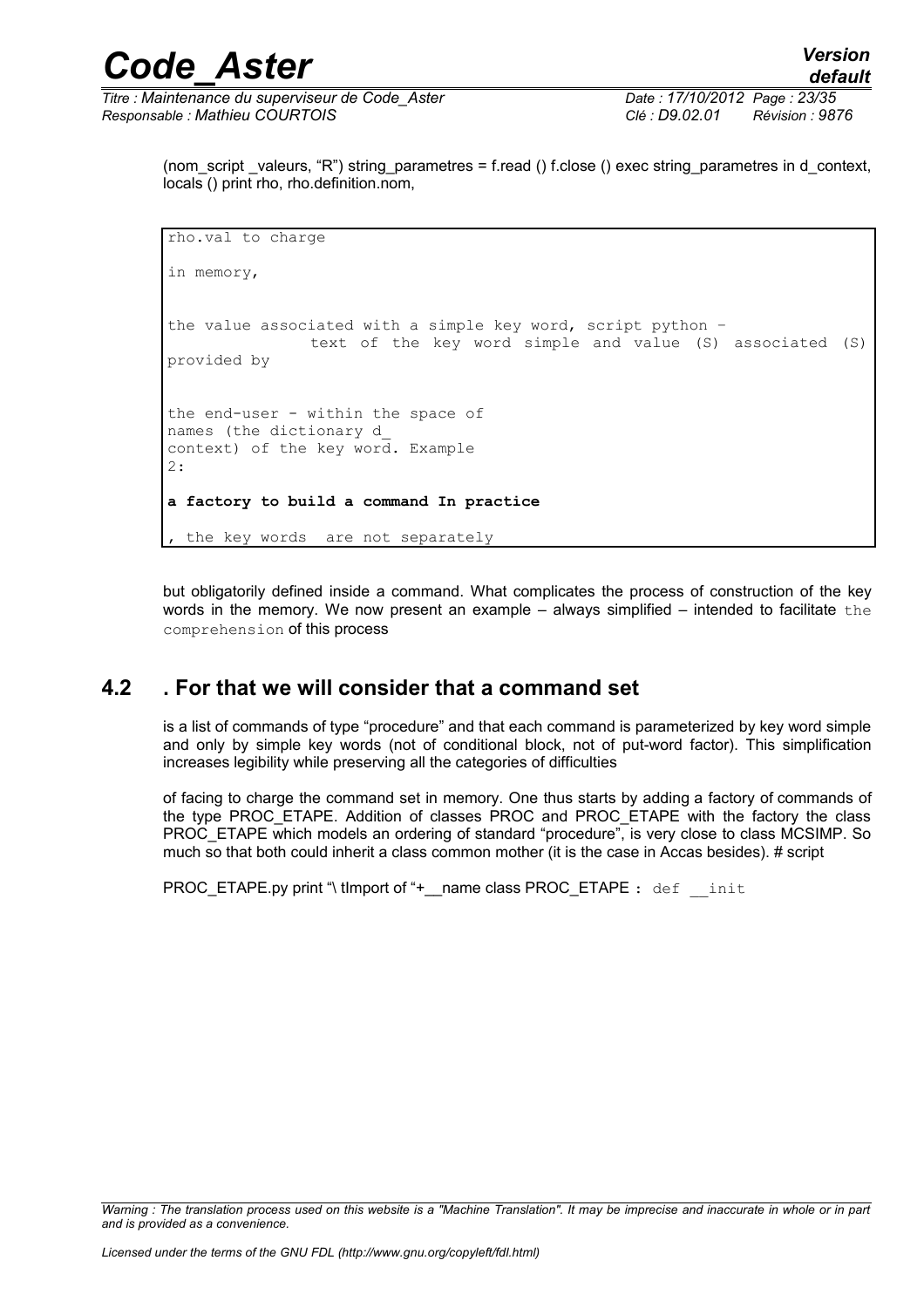*default*

(nom script valeurs, "R") string parametres = f.read () f.close () exec string parametres in d\_context, locals () print rho, rho.definition.nom,

```
rho.val to charge
in memory, 
the value associated with a simple key word, script python –
                text of the key word simple and value (S) associated (S)
provided by
the end-user - within the space of
names (the dictionary d_
context) of the key word. Example
2: 
a factory to build a command In practice
  the key words are not separately
```
but obligatorily defined inside a command. What complicates the process of construction of the key words in the memory. We now present an example  $-$  always simplified  $-$  intended to facilitate  $the$ comprehension of this process

## **4.2 . For that we will consider that a command set**

is a list of commands of type "procedure" and that each command is parameterized by key word simple and only by simple key words (not of conditional block, not of put-word factor). This simplification increases legibility while preserving all the categories of difficulties

of facing to charge the command set in memory. One thus starts by adding a factory of commands of the type PROC\_ETAPE. Addition of classes PROC and PROC\_ETAPE with the factory the class PROC\_ETAPE which models an ordering of standard "procedure", is very close to class MCSIMP. So much so that both could inherit a class common mother (it is the case in Accas besides). # script

PROC\_ETAPE.py print "\ tImport of "+\_name class PROC\_ETAPE : def \_\_init

*Warning : The translation process used on this website is a "Machine Translation". It may be imprecise and inaccurate in whole or in part and is provided as a convenience.*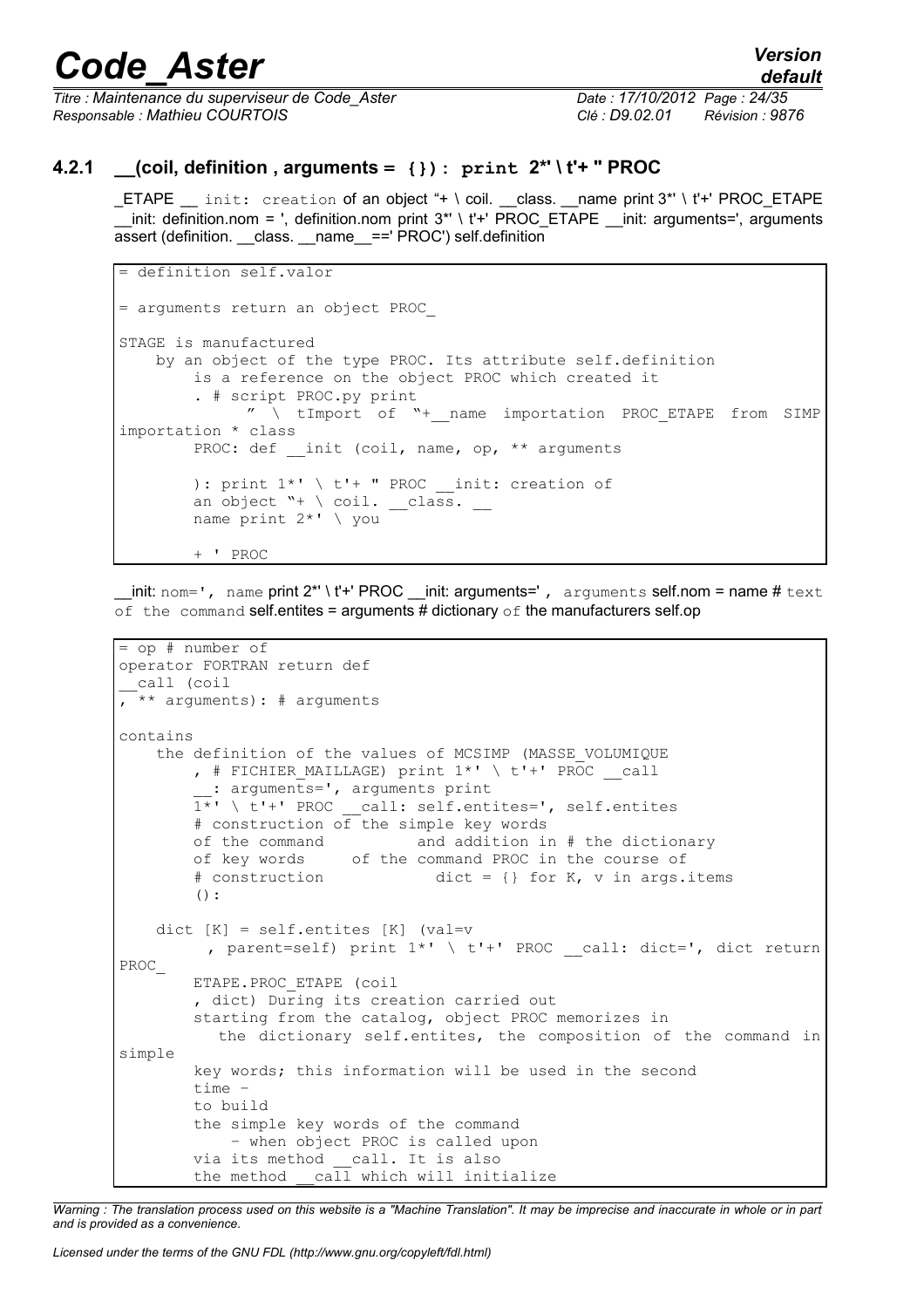*Titre : Maintenance du superviseur de Code\_Aster Date : 17/10/2012 Page : 24/35 Responsable : Mathieu COURTOIS Clé : D9.02.01 Révision : 9876*

### **4.2.1 \_\_(coil, definition , arguments = {}): print 2\*' \ t'+ " PROC**

\_ETAPE \_\_ init: creation of an object "+ \ coil. \_\_class. \_\_name print 3\*' \ t'+' PROC\_ETAPE  $\overline{\phantom{a}}$  init: definition.nom = ', definition.nom print 3\*' \ t'+' PROC\_ETAPE \_\_init: arguments=', arguments assert (definition. class. name ==' PROC') self.definition

```
= definition self.valor
= arguments return an object PROC_
STAGE is manufactured
    by an object of the type PROC. Its attribute self.definition
         is a reference on the object PROC which created it
         . # script PROC.py print
               " \ tImport of "+__name importation PROC_ETAPE from SIMP
importation * class
        PROC: def __init (coil, name, op, ** arguments
        ): print 1^* \ t'+ " PROC __ init: creation of
        an object "+ \setminus coil. class.
         name print 2*' \ you
         + ' PROC
```
 $\text{unit: norm} = '$ , name print  $2^* \setminus t'$ +' PROC \_\_init: arguments=', arguments self.nom = name # text of the command self.entites = arguments # dictionary of the manufacturers self.op

```
= op # number of
operator FORTRAN return def
 __call (coil
, ** arguments): # arguments
contains
     the definition of the values of MCSIMP (MASSE_VOLUMIQUE
        , # FICHIER MAILLAGE) print 1*' \setminus t'+' PROC call
           : arguments=', arguments print
        \overline{1*'} \ t'+' PROC call: self.entites=', self.entites
         # construction of the simple key words
         of the command and addition in # the dictionary
        of key words of the command PROC in the course of \# construction dict = {} for K, v in args.
                                    dict = \{\} for K, v in args.items():
    dict [K] = self.entites [K] (val=v
          , parent=self) print 1*' \ t'+' PROC call: dict=', dict return
PROC_
         ETAPE.PROC_ETAPE (coil
         , dict) During its creation carried out
         starting from the catalog, object PROC memorizes in
            the dictionary self.entites, the composition of the command in
simple
         key words; this information will be used in the second
         time –
         to build
         the simple key words of the command
              – when object PROC is called upon
         via its method __call. It is also
        the method _{\text{call}} which will initialize
```
*Warning : The translation process used on this website is a "Machine Translation". It may be imprecise and inaccurate in whole or in part and is provided as a convenience.*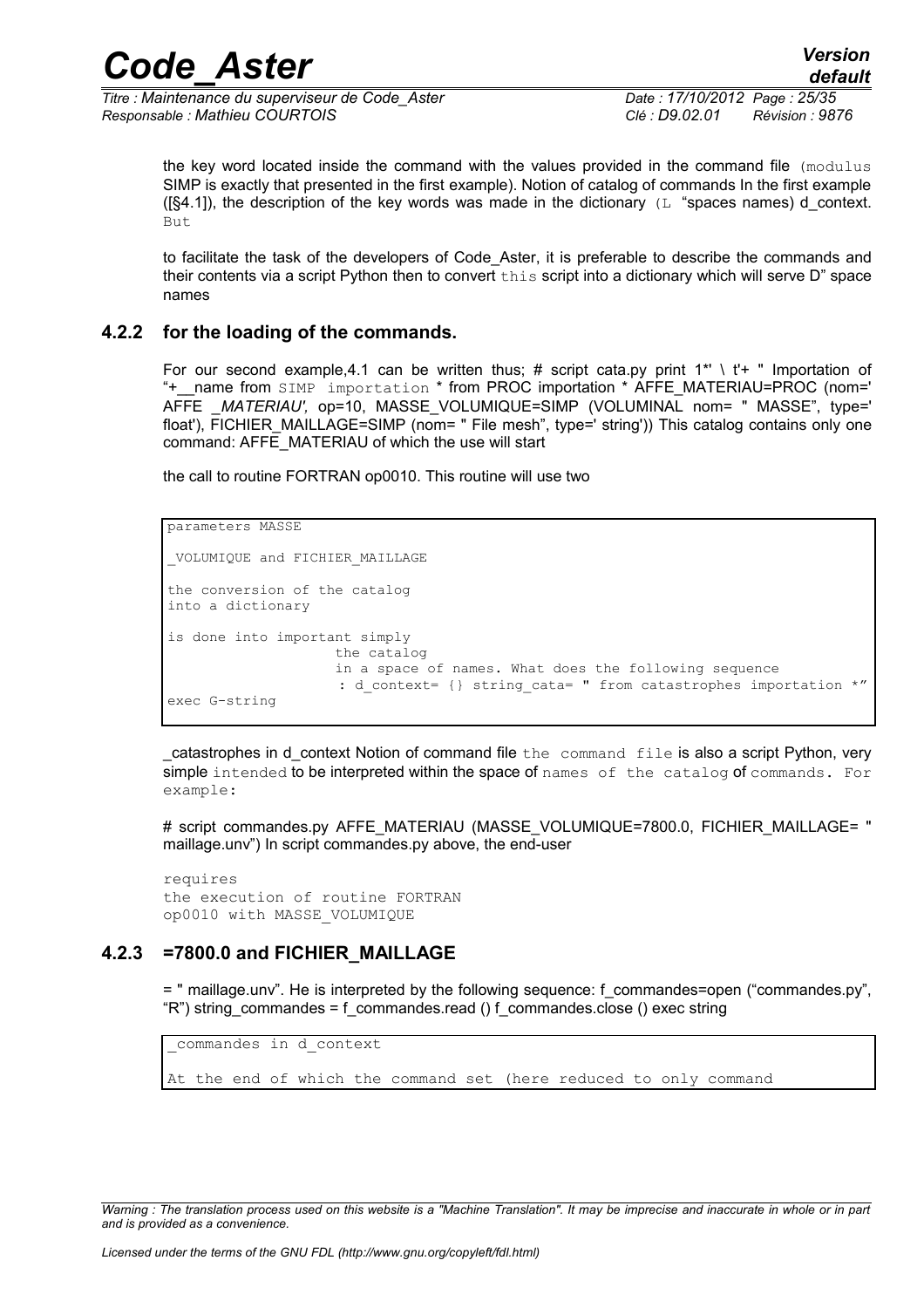*Titre : Maintenance du superviseur de Code\_Aster Date : 17/10/2012 Page : 25/35 Responsable : Mathieu COURTOIS Clé : D9.02.01 Révision : 9876*

the key word located inside the command with the values provided in the command file (modulus SIMP is exactly that presented in the first example). Notion of catalog of commands In the first example ( $[§4.1]$ ), the description of the key words was made in the dictionary (L "spaces names) d context. But

to facilitate the task of the developers of Code Aster, it is preferable to describe the commands and their contents via a script Python then to convert this script into a dictionary which will serve D" space names

### **4.2.2 for the loading of the commands.**

For our second example, 4.1 can be written thus; # script cata.py print  $1^* \setminus 1^+$  " Importation of "+\_\_name from SIMP importation \* from PROC importation \* AFFE\_MATERIAU=PROC (nom=' AFFE *\_MATERIAU',* op=10, MASSE\_VOLUMIQUE=SIMP (VOLUMINAL nom= " MASSE", type=' float'), FICHIER\_MAILLAGE=SIMP (nom= " File mesh", type=' string')) This catalog contains only one command: AFFE\_MATERIAU of which the use will start

the call to routine FORTRAN op0010. This routine will use two

```
parameters MASSE
 _VOLUMIQUE and FICHIER_MAILLAGE
the conversion of the catalog
into a dictionary
is done into important simply
                     the catalog
                     in a space of names. What does the following sequence
                      : d_context= {} string_cata= " from catastrophes importation *"
exec G-string
```
catastrophes in d context Notion of command file the command file is also a script Python, very simple intended to be interpreted within the space of names of the catalog of commands. For example:

# script commandes.py AFFE\_MATERIAU (MASSE\_VOLUMIQUE=7800.0, FICHIER\_MAILLAGE= " maillage.unv") In script commandes.py above, the end-user

```
requires
the execution of routine FORTRAN
op0010 with MASSE_VOLUMIQUE
```
### **4.2.3 =7800.0 and FICHIER\_MAILLAGE**

= " maillage.unv". He is interpreted by the following sequence: f\_commandes=open ("commandes.py", "R") string\_commandes = f\_commandes.read () f\_commandes.close () exec string

```
_commandes in d_context
```
At the end of which the command set (here reduced to only command

*Warning : The translation process used on this website is a "Machine Translation". It may be imprecise and inaccurate in whole or in part and is provided as a convenience.*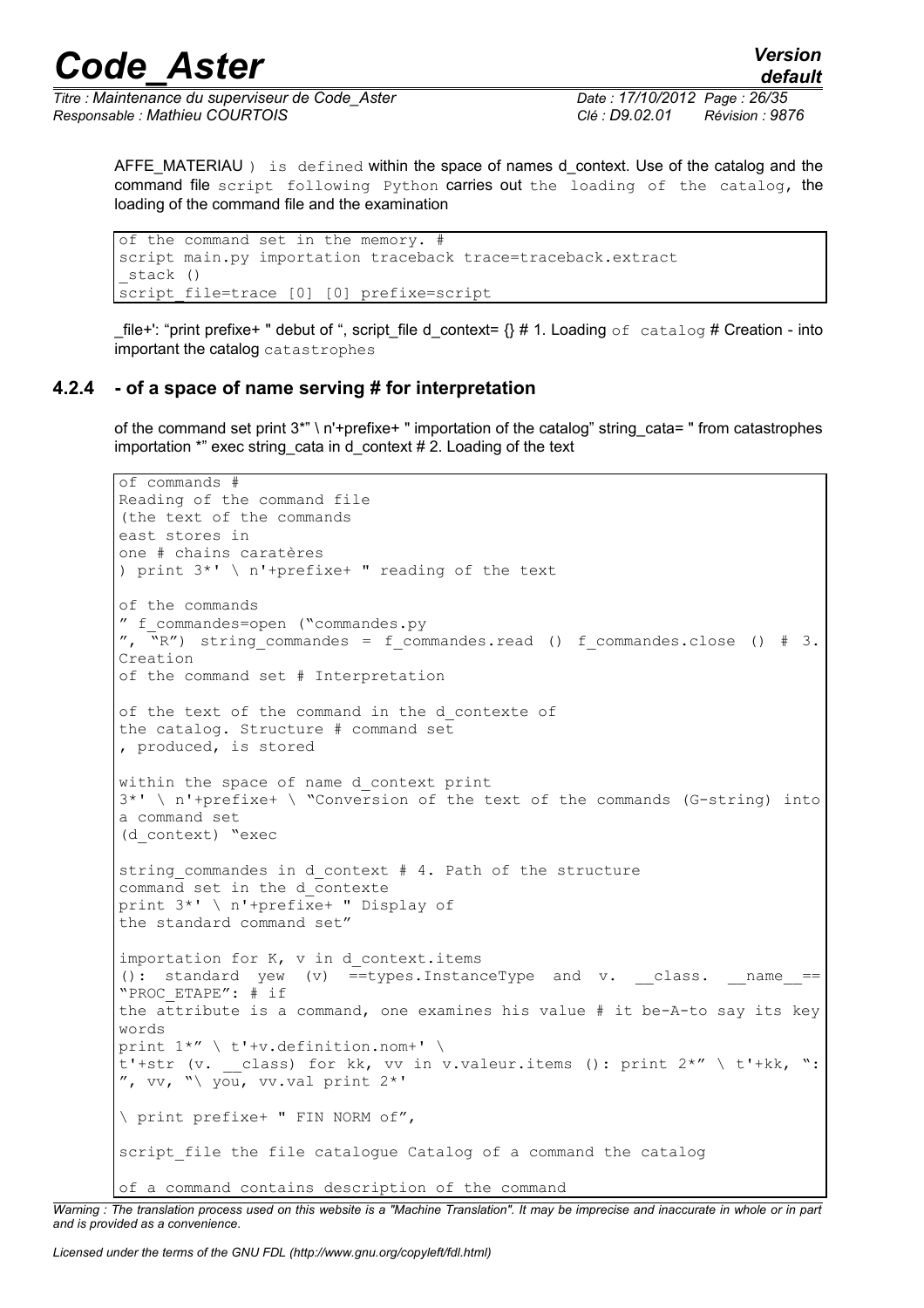*Titre : Maintenance du superviseur de Code\_Aster Date : 17/10/2012 Page : 26/35 Responsable : Mathieu COURTOIS Clé : D9.02.01 Révision : 9876*

AFFE\_MATERIAU ) is defined within the space of names d context. Use of the catalog and the command file script following Python carries out the loading of the catalog, the loading of the command file and the examination

of the command set in the memory. # script main.py importation traceback trace=traceback.extract \_stack () script file=trace [0] [0] prefixe=script

\_file+': "print prefixe+ " debut of ", script\_file d\_context=  $\{\}$  # 1. Loading of catalog # Creation - into important the catalog catastrophes

### **4.2.4 - of a space of name serving # for interpretation**

of the command set print 3\*" \ n'+prefixe+ " importation of the catalog" string cata= " from catastrophes importation \*" exec string\_cata in d\_context # 2. Loading of the text

```
of commands #
Reading of the command file
(the text of the commands
east stores in
one # chains caratères
) print 3*' \ n'+prefixe+ " reading of the text
of the commands
" f_commandes=open ("commandes.py
", \bar{N}R'') string commandes = f commandes.read () f commandes.close () # 3.
Creation
of the command set # Interpretation
of the text of the command in the d_contexte of
the catalog. Structure # command set
, produced, is stored
within the space of name d context print
3*' \ n'+prefixe+ \ "Conversion of the text of the commands (G-string) into
a command set
(d_context) "exec
string commandes in d context # 4. Path of the structure
command set in the d_contexte
print 3^*' \ n'+prefixe+ " Display of
the standard command set"
importation for K, v in d_context.items
(): standard yew (v) = = types. Instance Type and v. class. ___name = =
"PROC_ETAPE": # if
the attribute is a command, one examines his value # it be-A-to say its key
words
print 1^{**} \setminus t'+v.definition.nom+' \
t'+str (v. class) for kk, vv in v.valeur.items (): print 2^{**} \setminus t'+kk, ":
", vv, "\ you, vv.val print 2*'\ print prefixe+ " FIN NORM of", 
script file the file catalogue Catalog of a command the catalog
of a command contains description of the command
```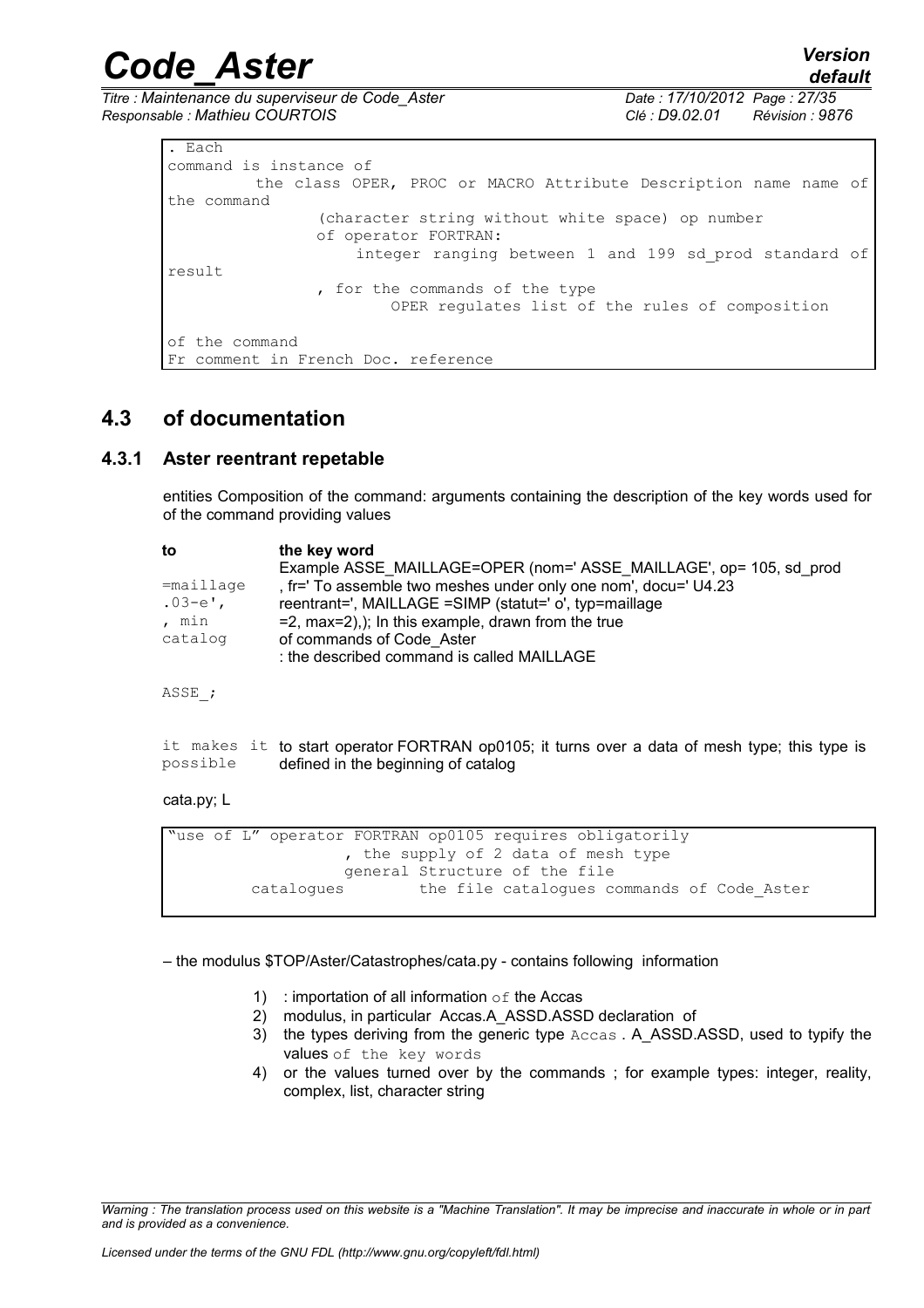*Titre : Maintenance du superviseur de Code\_Aster Date : 17/10/2012 Page : 27/35 Responsable : Mathieu COURTOIS Clé : D9.02.01 Révision : 9876*

| . Each                                                           |  |  |  |  |  |  |  |  |
|------------------------------------------------------------------|--|--|--|--|--|--|--|--|
| command is instance of                                           |  |  |  |  |  |  |  |  |
| the class OPER, PROC or MACRO Attribute Description name name of |  |  |  |  |  |  |  |  |
| the command                                                      |  |  |  |  |  |  |  |  |
| (character string without white space) op number                 |  |  |  |  |  |  |  |  |
| of operator FORTRAN:                                             |  |  |  |  |  |  |  |  |
| integer ranging between 1 and 199 sd prod standard of            |  |  |  |  |  |  |  |  |
| result                                                           |  |  |  |  |  |  |  |  |
| , for the commands of the type                                   |  |  |  |  |  |  |  |  |
| OPER requlates list of the rules of composition                  |  |  |  |  |  |  |  |  |
|                                                                  |  |  |  |  |  |  |  |  |
| of the command                                                   |  |  |  |  |  |  |  |  |
| Fr comment in French Doc. reference                              |  |  |  |  |  |  |  |  |

### **4.3 of documentation**

### **4.3.1 Aster reentrant repetable**

entities Composition of the command: arguments containing the description of the key words used for of the command providing values

| the key word                                                       |
|--------------------------------------------------------------------|
| Example ASSE MAILLAGE=OPER (nom=' ASSE MAILLAGE', op= 105, sd prod |
| , fr=' To assemble two meshes under only one nom', docu=' U4.23    |
| reentrant=', MAILLAGE =SIMP (statut=' o', typ=maillage             |
| $= 2$ , max $= 2$ ),); In this example, drawn from the true        |
| of commands of Code Aster                                          |
| : the described command is called MAILLAGE                         |
|                                                                    |

ASSE\_;

|          | it makes it to start operator FORTRAN op0105; it turns over a data of mesh type; this type is |
|----------|-----------------------------------------------------------------------------------------------|
| possible | defined in the beginning of catalog                                                           |

#### cata.py; L

```
"use of L" operator FORTRAN op0105 requires obligatorily
                   , the supply of 2 data of mesh type
                   general Structure of the file
         catalogues the file catalogues commands of Code_Aster
```
– the modulus \$TOP/Aster/Catastrophes/cata.py - contains following information

- 1) : importation of all information  $\circ$  f the Accas
- 2) modulus, in particular Accas.A\_ASSD.ASSD declaration of
- 3) the types deriving from the generic type Accas . A\_ASSD.ASSD, used to typify the values of the key words
- 4) or the values turned over by the commands ; for example types: integer, reality, complex, list, character string

*Warning : The translation process used on this website is a "Machine Translation". It may be imprecise and inaccurate in whole or in part and is provided as a convenience.*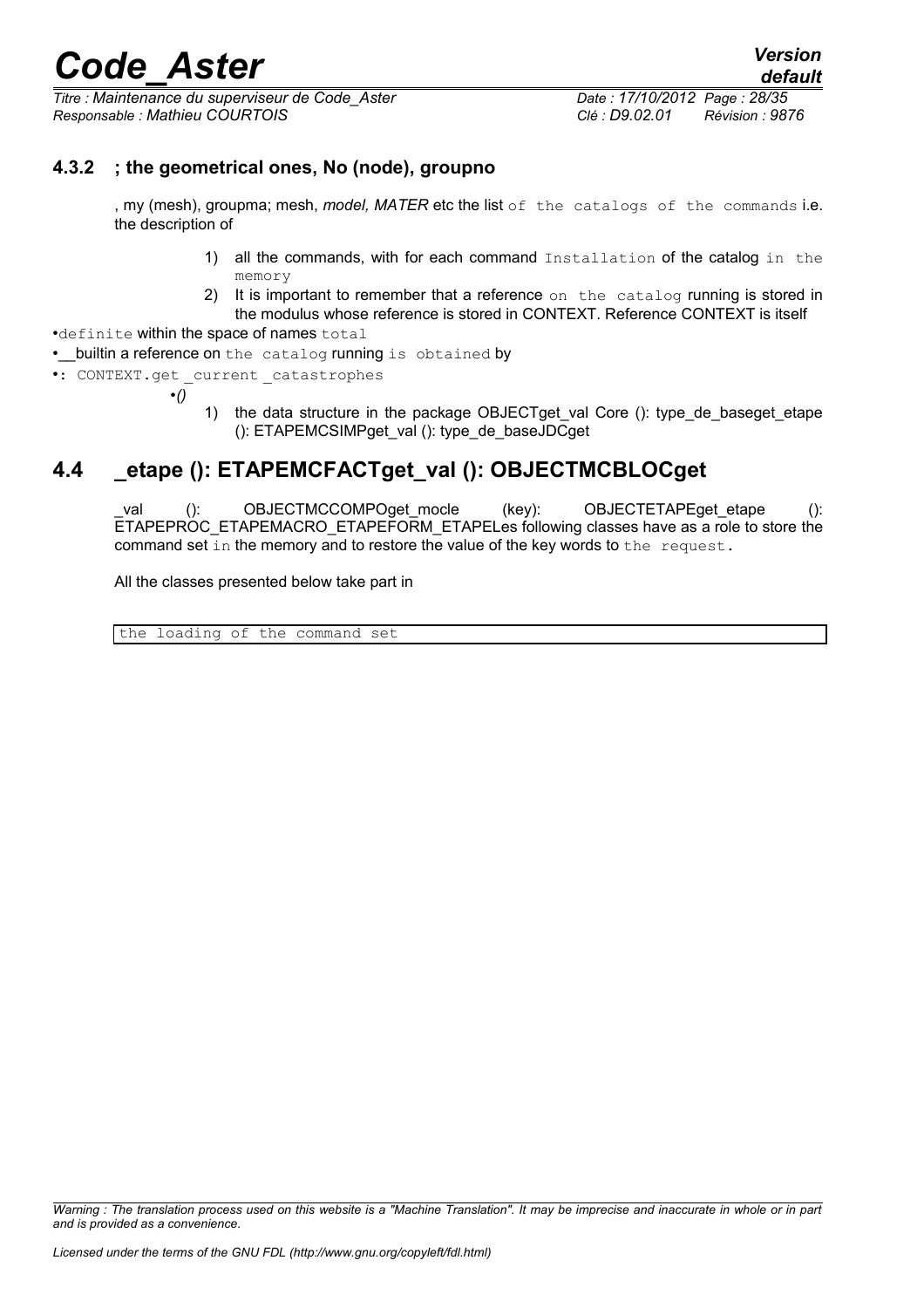*Titre : Maintenance du superviseur de Code\_Aster Date : 17/10/2012 Page : 28/35 Responsable : Mathieu COURTOIS Clé : D9.02.01 Révision : 9876*

### **4.3.2 ; the geometrical ones, No (node), groupno**

, my (mesh), groupma; mesh, *model, MATER* etc the list of the catalogs of the commands i.e. the description of

- 1) all the commands, with for each command Installation of the catalog in the memory
- 2) It is important to remember that a reference on the catalog running is stored in the modulus whose reference is stored in CONTEXT. Reference CONTEXT is itself

•definite within the space of names total

• builtin a reference on the catalog running is obtained by

•: CONTEXT.get current catastrophes

•*()*

1) the data structure in the package OBJECTget\_val Core (): type\_de\_baseget\_etape (): ETAPEMCSIMPget\_val (): type\_de\_baseJDCget

## **4.4 \_etape (): ETAPEMCFACTget\_val (): OBJECTMCBLOCget**

val (): OBJECTMCCOMPOget mocle (key): OBJECTETAPEget etape (): ETAPEPROC\_ETAPEMACRO\_ETAPEFORM\_ETAPELes following classes have as a role to store the command set in the memory and to restore the value of the key words to the request.

All the classes presented below take part in

the loading of the command set

*Warning : The translation process used on this website is a "Machine Translation". It may be imprecise and inaccurate in whole or in part and is provided as a convenience.*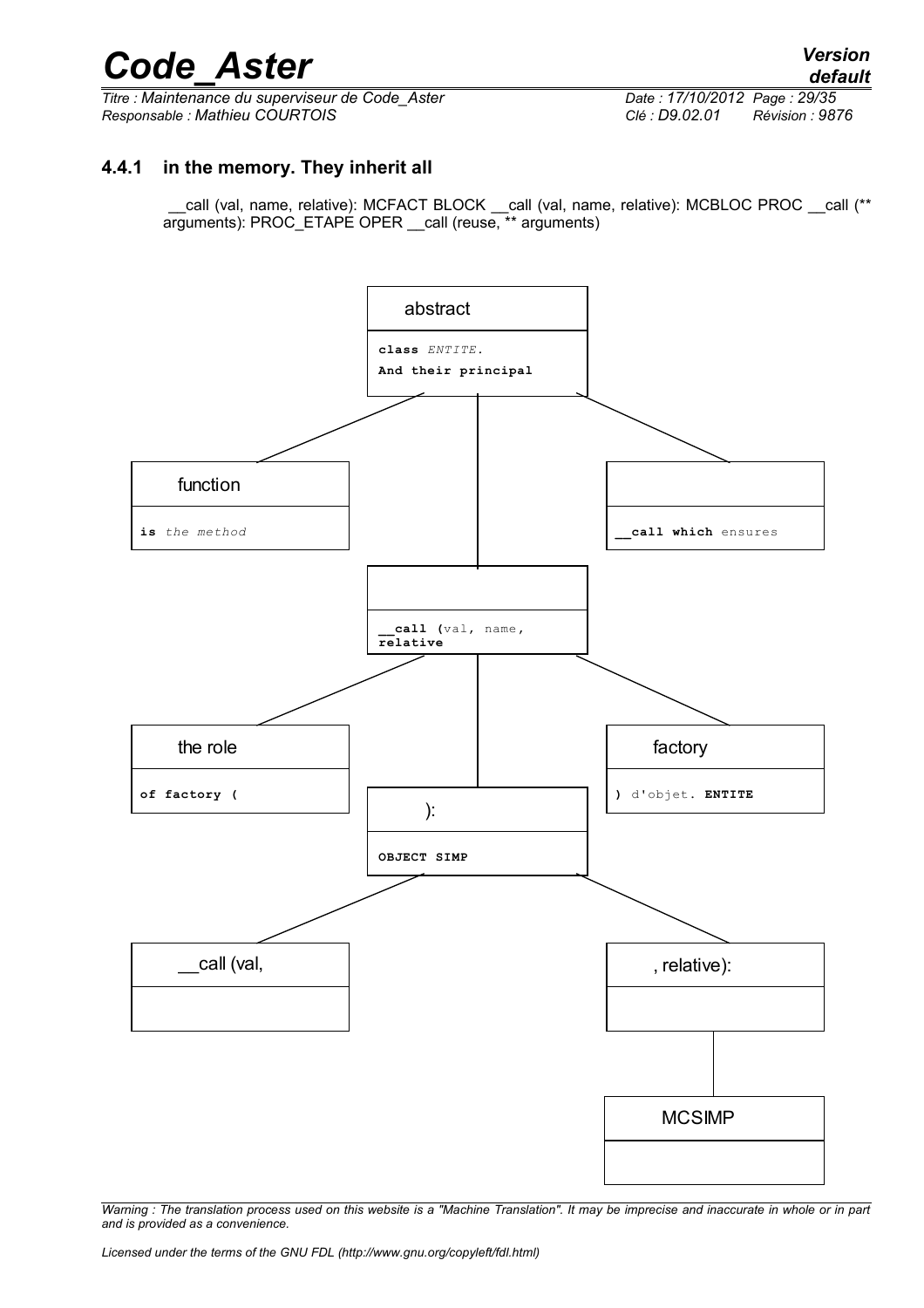*Titre : Maintenance du superviseur de Code\_Aster Date : 17/10/2012 Page : 29/35 Responsable : Mathieu COURTOIS Clé : D9.02.01 Révision : 9876*

### **4.4.1 in the memory. They inherit all**

 \_\_call (val, name, relative): MCFACT BLOCK \_\_call (val, name, relative): MCBLOC PROC \_\_call (\*\* arguments): PROC\_ETAPE OPER \_\_call (reuse, \*\* arguments)

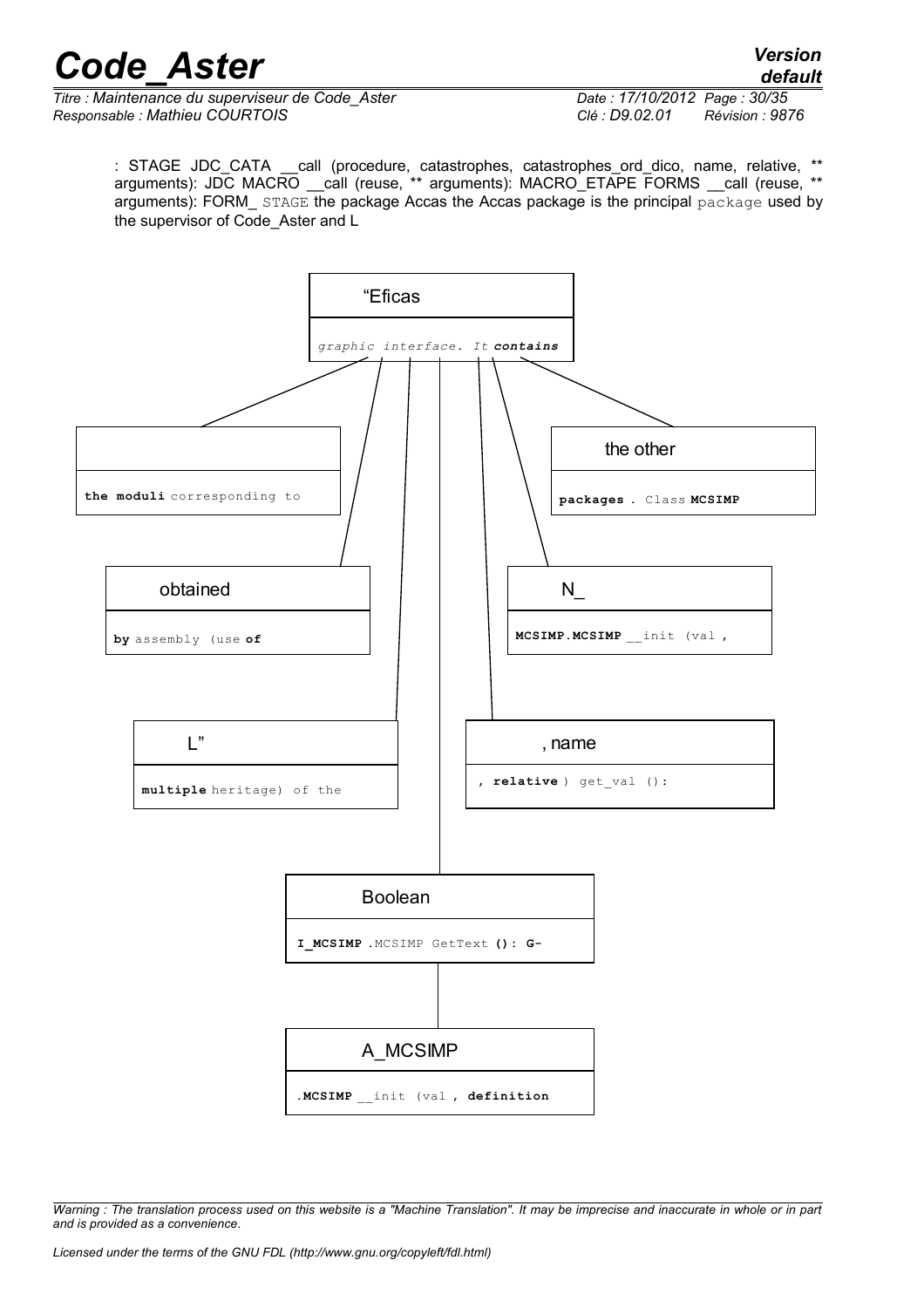*default*

*Titre : Maintenance du superviseur de Code\_Aster Date : 17/10/2012 Page : 30/35 Responsable : Mathieu COURTOIS Clé : D9.02.01 Révision : 9876*

: STAGE JDC\_CATA \_\_call (procedure, catastrophes, catastrophes\_ord\_dico, name, relative, \*\* arguments): JDC MACRO \_\_call (reuse, \*\* arguments): MACRO\_ETAPE FORMS \_\_call (reuse, \*\* arguments): FORM\_ STAGE the package Accas the Accas package is the principal package used by the supervisor of Code\_Aster and L

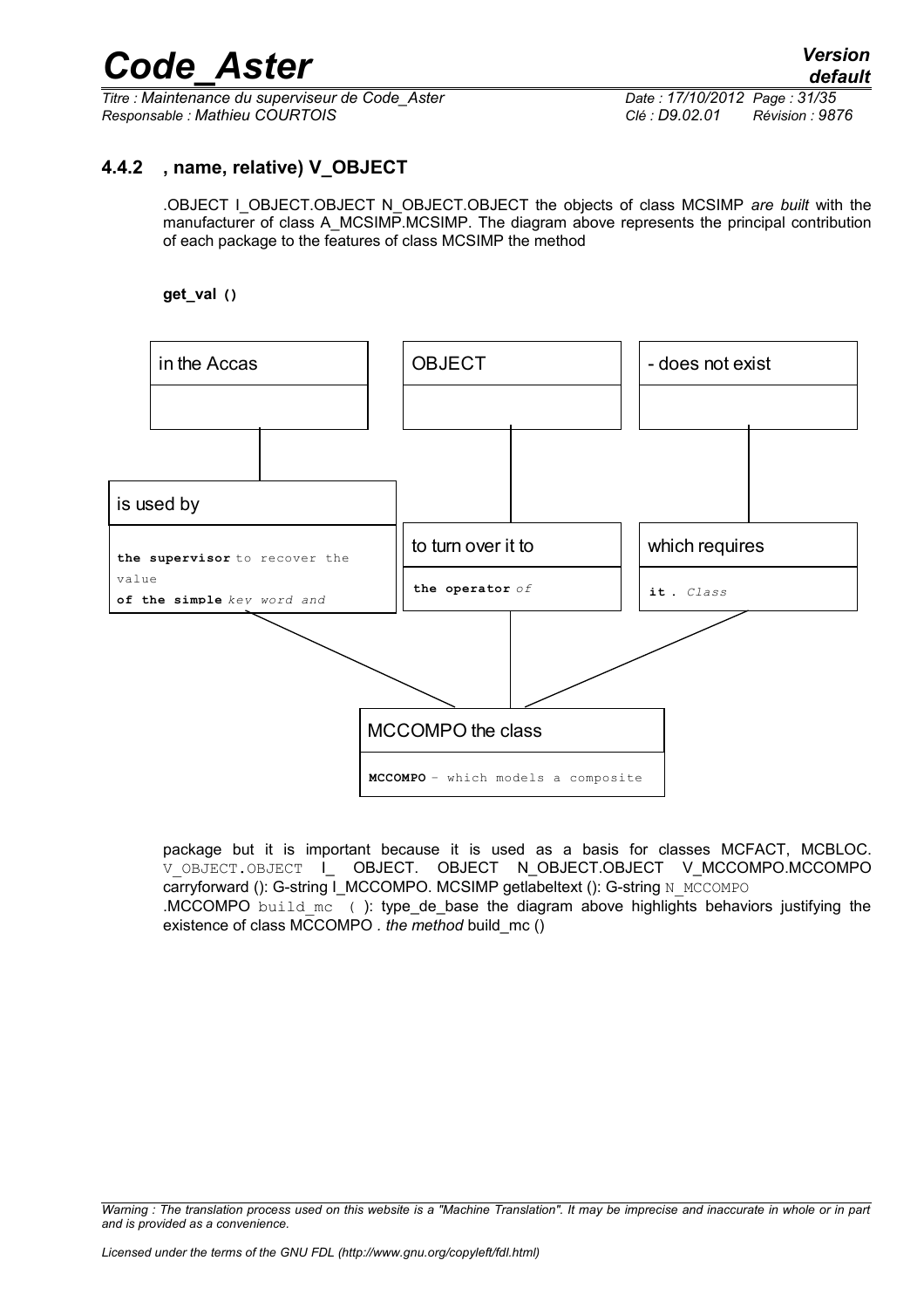*Titre : Maintenance du superviseur de Code\_Aster Date : 17/10/2012 Page : 31/35 Responsable : Mathieu COURTOIS Clé : D9.02.01 Révision : 9876*

### **4.4.2 , name, relative) V\_OBJECT**

.OBJECT I\_OBJECT.OBJECT N\_OBJECT.OBJECT the objects of class MCSIMP *are built* with the manufacturer of class A\_MCSIMP.MCSIMP. The diagram above represents the principal contribution of each package to the features of class MCSIMP the method

#### **get\_val ()**



package but it is important because it is used as a basis for classes MCFACT, MCBLOC. V\_OBJECT.OBJECT | OBJECT. OBJECT N\_OBJECT.OBJECT V\_MCCOMPO.MCCOMPO carryforward (): G-string I\_MCCOMPO. MCSIMP getlabeltext (): G-string N\_MCCOMPO .MCCOMPO build mc ( ): type de base the diagram above highlights behaviors justifying the existence of class MCCOMPO *. the method* build\_mc ()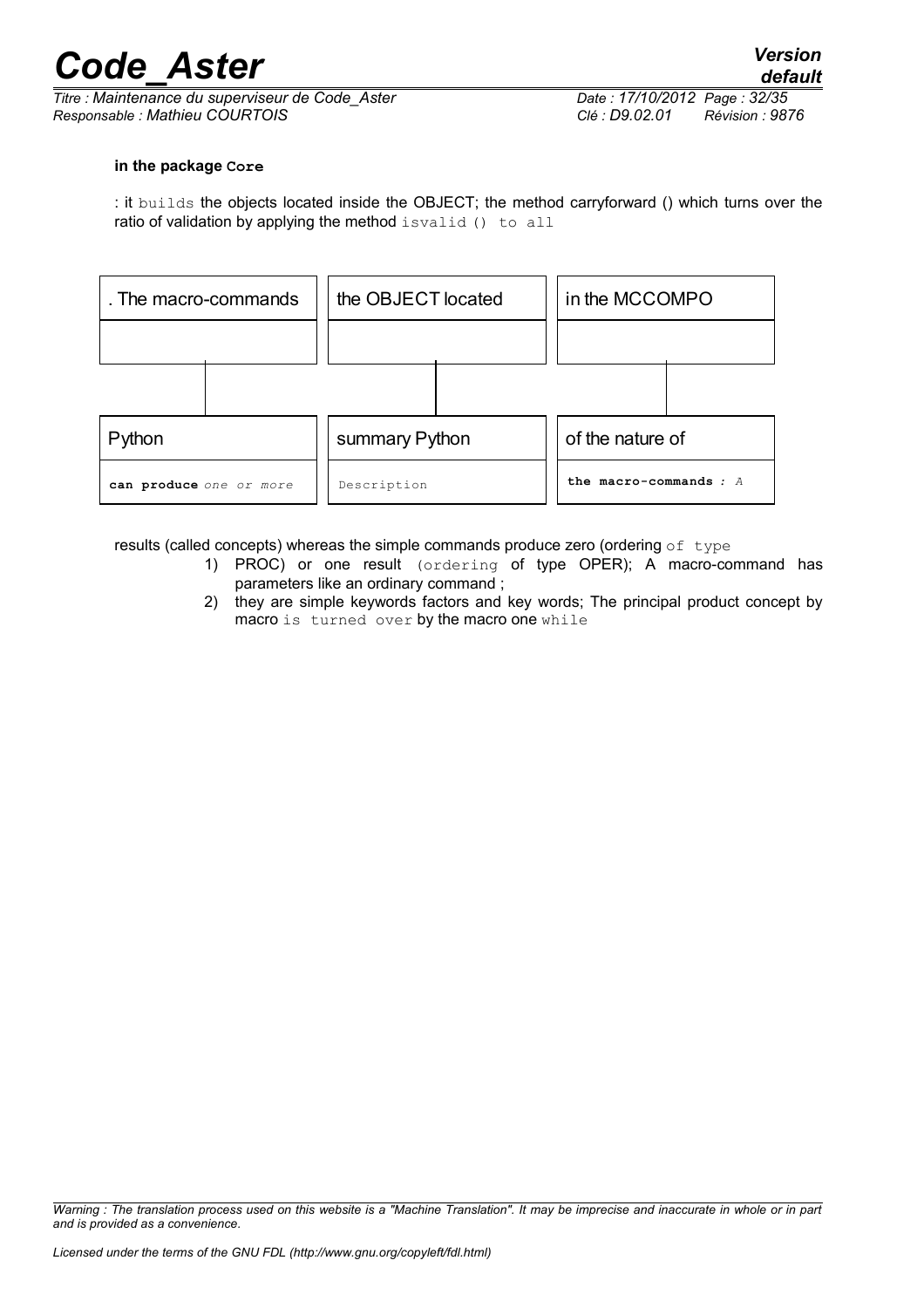*Titre : Maintenance du superviseur de Code\_Aster Date : 17/10/2012 Page : 32/35 Responsable : Mathieu COURTOIS Clé : D9.02.01 Révision : 9876*

#### **in the package Core**

: it builds the objects located inside the OBJECT; the method carryforward () which turns over the ratio of validation by applying the method isvalid () to all

| . The macro-commands    | the OBJECT located |  | in the MCCOMPO           |  |
|-------------------------|--------------------|--|--------------------------|--|
|                         |                    |  |                          |  |
|                         |                    |  |                          |  |
| Python                  | summary Python     |  | of the nature of         |  |
| can produce one or more | Description        |  | the macro-commands $: A$ |  |

results (called concepts) whereas the simple commands produce zero (ordering  $of$  type

- 1) PROC) or one result (ordering of type OPER); A macro-command has parameters like an ordinary command ;
- 2) they are simple keywords factors and key words; The principal product concept by macro is turned over by the macro one while

*Warning : The translation process used on this website is a "Machine Translation". It may be imprecise and inaccurate in whole or in part and is provided as a convenience.*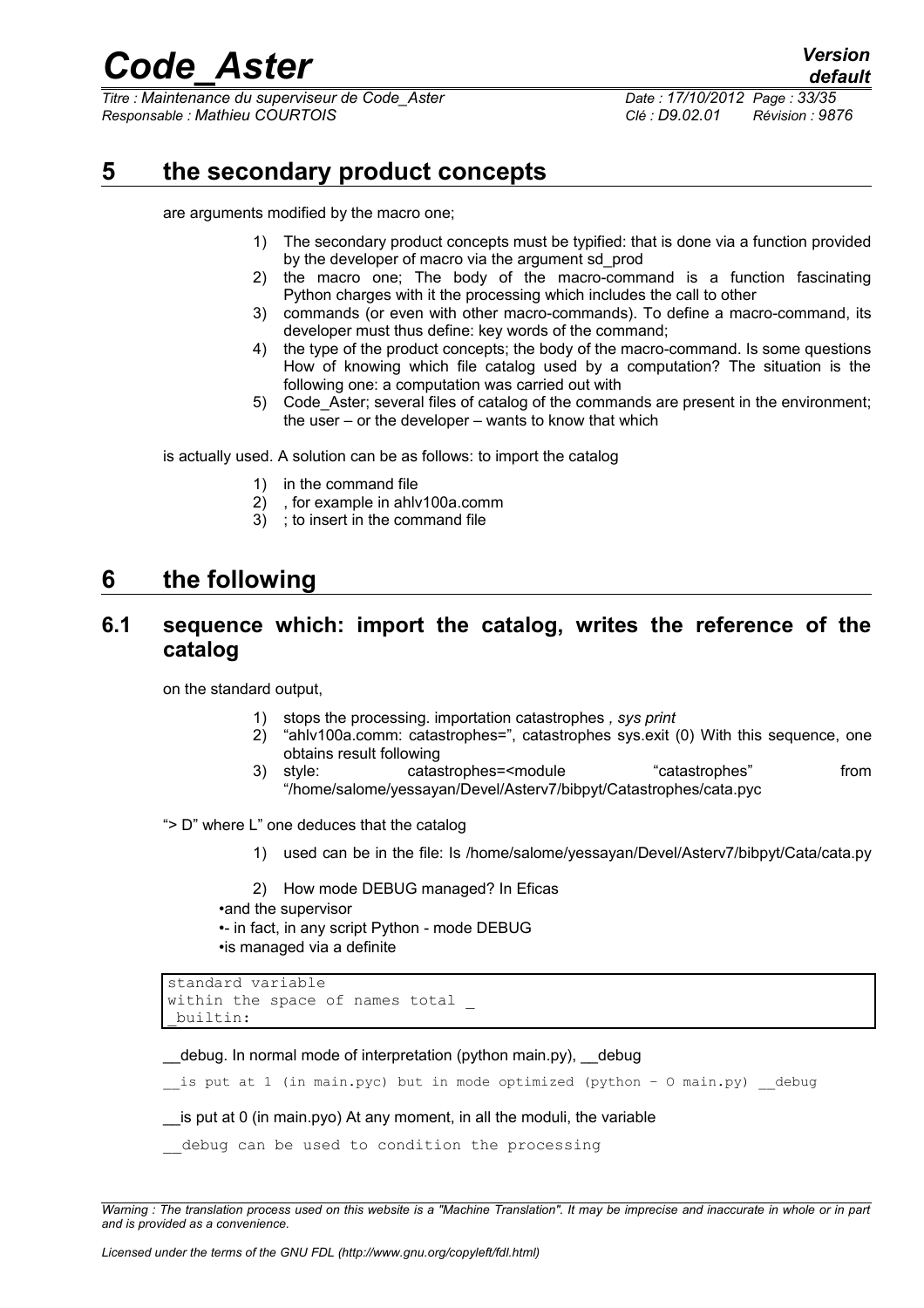*Titre : Maintenance du superviseur de Code\_Aster Date : 17/10/2012 Page : 33/35 Responsable : Mathieu COURTOIS Clé : D9.02.01 Révision : 9876*

## **5 the secondary product concepts**

<span id="page-32-0"></span>are arguments modified by the macro one;

- 1) The secondary product concepts must be typified: that is done via a function provided by the developer of macro via the argument sd\_prod
- 2) the macro one; The body of the macro-command is a function fascinating Python charges with it the processing which includes the call to other
- 3) commands (or even with other macro-commands). To define a macro-command, its developer must thus define: key words of the command;
- 4) the type of the product concepts; the body of the macro-command. Is some questions How of knowing which file catalog used by a computation? The situation is the following one: a computation was carried out with
- 5) Code\_Aster; several files of catalog of the commands are present in the environment; the user – or the developer – wants to know that which

is actually used. A solution can be as follows: to import the catalog

- 1) in the command file
- 2) , for example in ahlv100a.comm
- 3) ; to insert in the command file

## **6 the following**

### **6.1 sequence which: import the catalog, writes the reference of the catalog**

on the standard output,

- 1) stops the processing. importation catastrophes *, sys print*
- 2) "ahlv100a.comm: catastrophes=", catastrophes sys.exit (0) With this sequence, one obtains result following
- 3) style: catastrophes=<module "catastrophes" from "/home/salome/yessayan/Devel/Asterv7/bibpyt/Catastrophes/cata.pyc

"> D" where L" one deduces that the catalog

1) used can be in the file: Is /home/salome/yessayan/Devel/Asterv7/bibpyt/Cata/cata.py

2) How mode DEBUG managed? In Eficas •and the supervisor •- in fact, in any script Python - mode DEBUG •is managed via a definite

```
standard variable
within the space of names total
_builtin:
```
\_\_debug. In normal mode of interpretation (python main.py), \_\_debug

is put at 1 (in main.pyc) but in mode optimized (python - O main.py) debug

\_\_is put at 0 (in main.pyo) At any moment, in all the moduli, the variable

debug can be used to condition the processing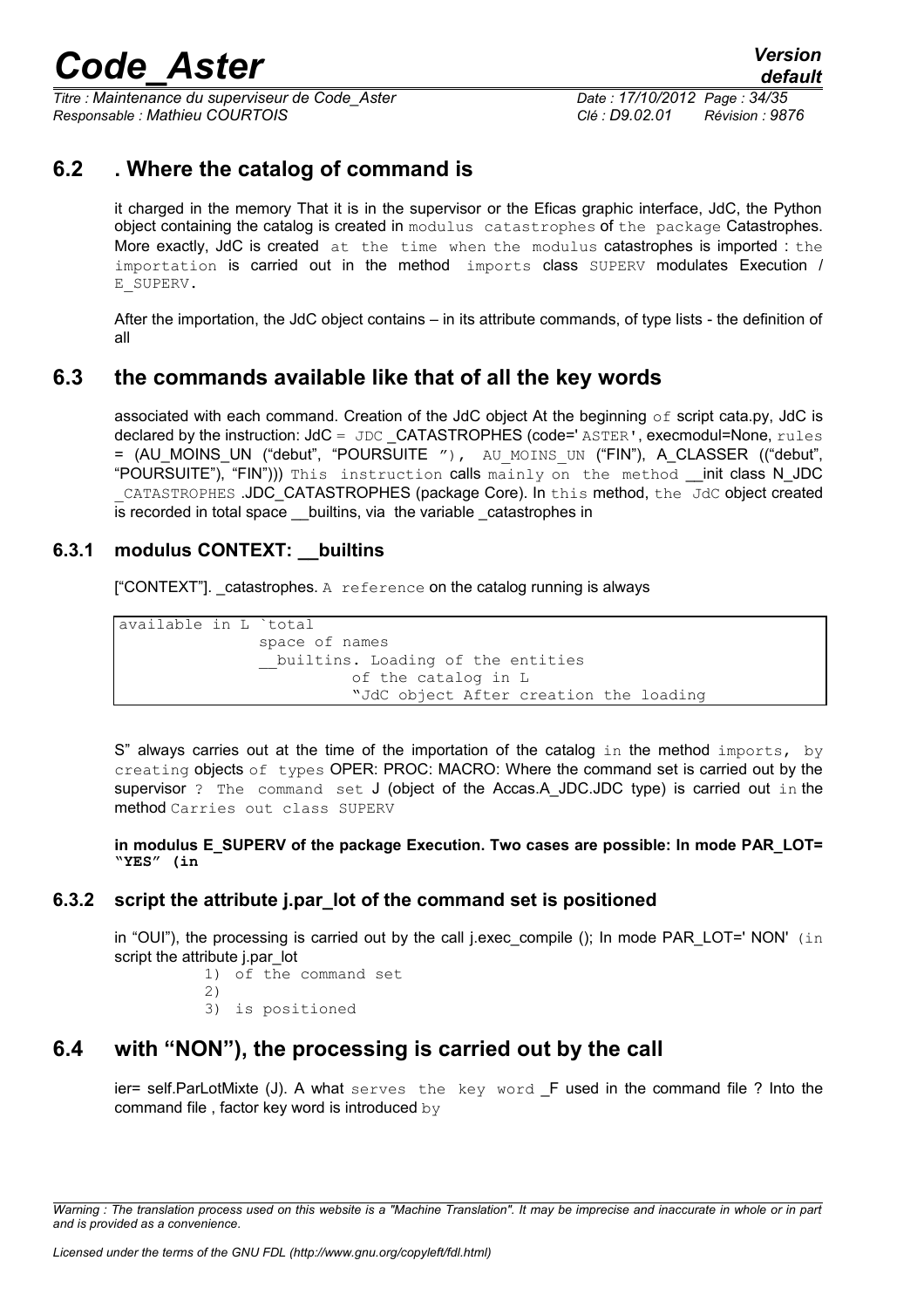*Titre : Maintenance du superviseur de Code\_Aster Date : 17/10/2012 Page : 34/35 Responsable : Mathieu COURTOIS Clé : D9.02.01 Révision : 9876*

## **6.2 . Where the catalog of command is**

it charged in the memory That it is in the supervisor or the Eficas graphic interface, JdC, the Python object containing the catalog is created in modulus catastrophes of the package Catastrophes. More exactly, JdC is created at the time when the modulus catastrophes is imported : the importation is carried out in the method imports class SUPERV modulates Execution / E\_SUPERV.

After the importation, the JdC object contains – in its attribute commands, of type lists - the definition of all

### **6.3 the commands available like that of all the key words**

associated with each command. Creation of the JdC object At the beginning  $\circ$ f script cata.py, JdC is declared by the instruction: JdC = JDC CATASTROPHES (code=' ASTER', execmodul=None, rules = (AU\_MOINS\_UN ("debut", "POURSUITE "), AU\_MOINS\_UN ("FIN"), A\_CLASSER (("debut", "POURSUITE"), "FIN"))) This instruction calls mainly on the method init class N JDC CATASTROPHES .JDC CATASTROPHES (package Core). In this method, the JdC object created is recorded in total space \_\_builtins, via the variable catastrophes in

### **6.3.1 modulus CONTEXT: \_\_builtins**

 $[$ "CONTEXT"]. catastrophes. A reference on the catalog running is always

available in L `total space of names builtins. Loading of the entities of the catalog in L "JdC object After creation the loading

 $S''$  always carries out at the time of the importation of the catalog in the method imports, by creating objects of types OPER: PROC: MACRO: Where the command set is carried out by the supervisor ? The command set J (object of the Accas.A JDC.JDC type) is carried out in the method Carries out class SUPERV

**in modulus E\_SUPERV of the package Execution. Two cases are possible: In mode PAR\_LOT= "YES" (in**

### **6.3.2 script the attribute j.par\_lot of the command set is positioned**

in "OUI"), the processing is carried out by the call j.exec\_compile (); In mode PAR\_LOT=' NON' (in script the attribute j.par\_lot

1) of the command set  $2)$ 

3) is positioned

## **6.4 with "NON"), the processing is carried out by the call**

ier= self.ParLotMixte (J). A what serves the key word F used in the command file ? Into the command file , factor key word is introduced by

*Warning : The translation process used on this website is a "Machine Translation". It may be imprecise and inaccurate in whole or in part and is provided as a convenience.*